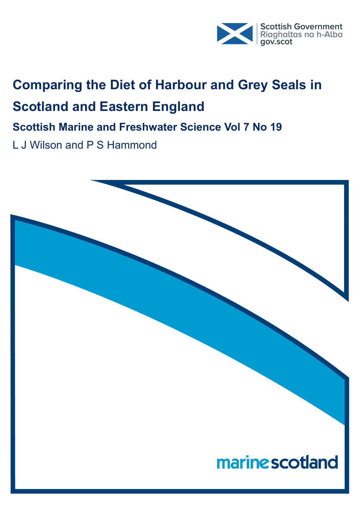

# **Comparing the Diet of Harbour and Grey Seals in Scotland and Eastern England**

**Scottish Marine and Freshwater Science Vol 7 No 19**

L J Wilson and P S Hammond

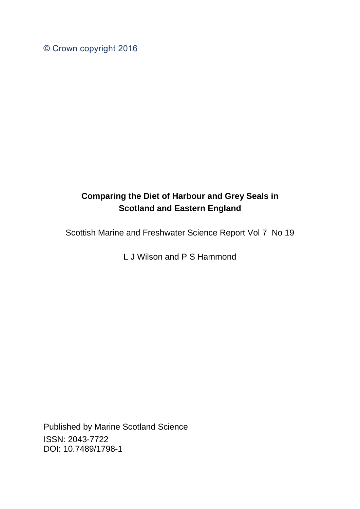© Crown copyright 2016

# **Comparing the Diet of Harbour and Grey Seals in Scotland and Eastern England**

Scottish Marine and Freshwater Science Report Vol 7 No 19

L J Wilson and P S Hammond

Published by Marine Scotland Science ISSN: 2043-7722 DOI: 10.7489/1798-1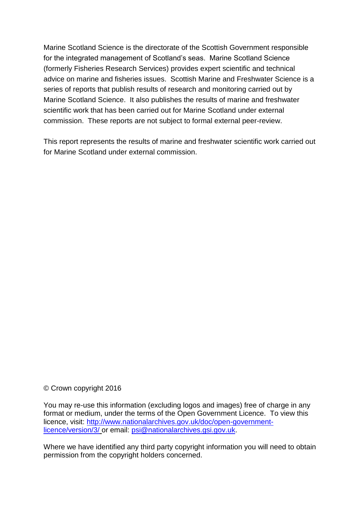Marine Scotland Science is the directorate of the Scottish Government responsible for the integrated management of Scotland's seas. Marine Scotland Science (formerly Fisheries Research Services) provides expert scientific and technical advice on marine and fisheries issues. Scottish Marine and Freshwater Science is a series of reports that publish results of research and monitoring carried out by Marine Scotland Science. It also publishes the results of marine and freshwater scientific work that has been carried out for Marine Scotland under external commission. These reports are not subject to formal external peer-review.

This report represents the results of marine and freshwater scientific work carried out for Marine Scotland under external commission.

#### © Crown copyright 2016

You may re-use this information (excluding logos and images) free of charge in any format or medium, under the terms of the Open Government Licence. To view this licence, visit: [http://www.nationalarchives.gov.uk/doc/open-government](http://www.nationalarchives.gov.uk/doc/open-government-licence/version/3/)[licence/version/3/](http://www.nationalarchives.gov.uk/doc/open-government-licence/version/3/) or email: [psi@nationalarchives.gsi.gov.uk.](mailto:psi@nationalarchives.gsi.gov.uk)

Where we have identified any third party copyright information you will need to obtain permission from the copyright holders concerned.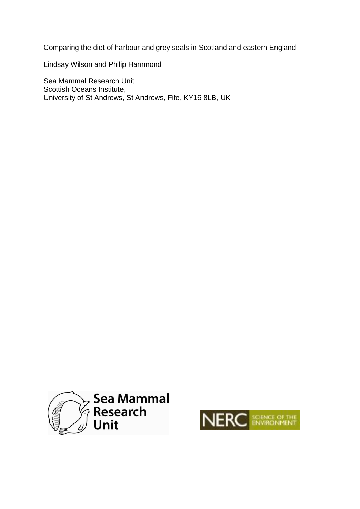Comparing the diet of harbour and grey seals in Scotland and eastern England

Lindsay Wilson and Philip Hammond

Sea Mammal Research Unit Scottish Oceans Institute, University of St Andrews, St Andrews, Fife, KY16 8LB, UK



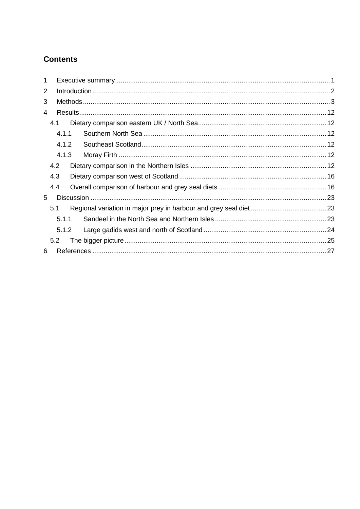## **Contents**

| 1              |       |  |  |
|----------------|-------|--|--|
| $\overline{2}$ |       |  |  |
| 3              |       |  |  |
| 4              |       |  |  |
|                | 4.1   |  |  |
|                | 4.1.1 |  |  |
|                | 4.1.2 |  |  |
|                | 4.1.3 |  |  |
|                | 4.2   |  |  |
|                | 4.3   |  |  |
|                | 4.4   |  |  |
| 5              |       |  |  |
|                | 5.1   |  |  |
|                | 5.1.1 |  |  |
|                | 5.1.2 |  |  |
|                | 5.2   |  |  |
| 6              |       |  |  |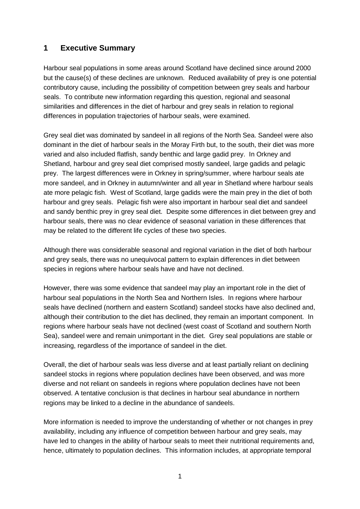## <span id="page-5-0"></span>**1 Executive Summary**

Harbour seal populations in some areas around Scotland have declined since around 2000 but the cause(s) of these declines are unknown. Reduced availability of prey is one potential contributory cause, including the possibility of competition between grey seals and harbour seals. To contribute new information regarding this question, regional and seasonal similarities and differences in the diet of harbour and grey seals in relation to regional differences in population trajectories of harbour seals, were examined.

Grey seal diet was dominated by sandeel in all regions of the North Sea. Sandeel were also dominant in the diet of harbour seals in the Moray Firth but, to the south, their diet was more varied and also included flatfish, sandy benthic and large gadid prey. In Orkney and Shetland, harbour and grey seal diet comprised mostly sandeel, large gadids and pelagic prey. The largest differences were in Orkney in spring/summer, where harbour seals ate more sandeel, and in Orkney in autumn/winter and all year in Shetland where harbour seals ate more pelagic fish. West of Scotland, large gadids were the main prey in the diet of both harbour and grey seals. Pelagic fish were also important in harbour seal diet and sandeel and sandy benthic prey in grey seal diet. Despite some differences in diet between grey and harbour seals, there was no clear evidence of seasonal variation in these differences that may be related to the different life cycles of these two species.

Although there was considerable seasonal and regional variation in the diet of both harbour and grey seals, there was no unequivocal pattern to explain differences in diet between species in regions where harbour seals have and have not declined.

However, there was some evidence that sandeel may play an important role in the diet of harbour seal populations in the North Sea and Northern Isles. In regions where harbour seals have declined (northern and eastern Scotland) sandeel stocks have also declined and, although their contribution to the diet has declined, they remain an important component. In regions where harbour seals have not declined (west coast of Scotland and southern North Sea), sandeel were and remain unimportant in the diet. Grey seal populations are stable or increasing, regardless of the importance of sandeel in the diet.

Overall, the diet of harbour seals was less diverse and at least partially reliant on declining sandeel stocks in regions where population declines have been observed, and was more diverse and not reliant on sandeels in regions where population declines have not been observed. A tentative conclusion is that declines in harbour seal abundance in northern regions may be linked to a decline in the abundance of sandeels.

More information is needed to improve the understanding of whether or not changes in prey availability, including any influence of competition between harbour and grey seals, may have led to changes in the ability of harbour seals to meet their nutritional requirements and, hence, ultimately to population declines. This information includes, at appropriate temporal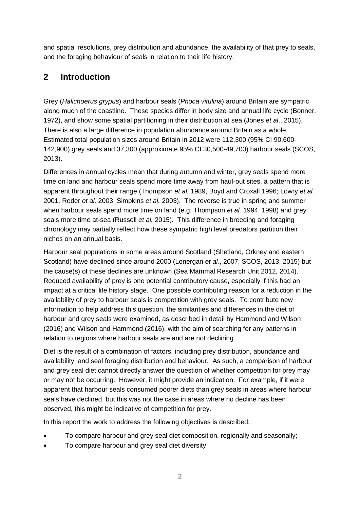and spatial resolutions, prey distribution and abundance, the availability of that prey to seals, and the foraging behaviour of seals in relation to their life history.

## <span id="page-6-0"></span>**2 Introduction**

Grey (*Halichoerus grypus*) and harbour seals (*Phoca vitulina*) around Britain are sympatric along much of the coastline. These species differ in body size and annual life cycle (Bonner, 1972), and show some spatial partitioning in their distribution at sea (Jones *et al*., 2015). There is also a large difference in population abundance around Britain as a whole. Estimated total population sizes around Britain in 2012 were 112,300 (95% CI 90,600- 142,900) grey seals and 37,300 (approximate 95% CI 30,500-49,700) harbour seals (SCOS, 2013).

Differences in annual cycles mean that during autumn and winter, grey seals spend more time on land and harbour seals spend more time away from haul-out sites, a pattern that is apparent throughout their range (Thompson *et al.* 1989, Boyd and Croxall 1996; Lowry *et al.* 2001, Reder *et al.* 2003, Simpkins *et al.* 2003). The reverse is true in spring and summer when harbour seals spend more time on land (e.g. Thompson *et al.* 1994, 1998) and grey seals more time at-sea (Russell *et al.* 2015). This difference in breeding and foraging chronology may partially reflect how these sympatric high level predators partition their niches on an annual basis.

Harbour seal populations in some areas around Scotland (Shetland, Orkney and eastern Scotland) have declined since around 2000 (Lonergan *et al.*, 2007; SCOS, 2013; 2015) but the cause(s) of these declines are unknown (Sea Mammal Research Unit 2012, 2014). Reduced availability of prey is one potential contributory cause, especially if this had an impact at a critical life history stage. One possible contributing reason for a reduction in the availability of prey to harbour seals is competition with grey seals. To contribute new information to help address this question, the similarities and differences in the diet of harbour and grey seals were examined, as described in detail by Hammond and Wilson (2016) and Wilson and Hammond (2016), with the aim of searching for any patterns in relation to regions where harbour seals are and are not declining.

Diet is the result of a combination of factors, including prey distribution, abundance and availability, and seal foraging distribution and behaviour. As such, a comparison of harbour and grey seal diet cannot directly answer the question of whether competition for prey may or may not be occurring. However, it might provide an indication. For example, if it were apparent that harbour seals consumed poorer diets than grey seals in areas where harbour seals have declined, but this was not the case in areas where no decline has been observed, this might be indicative of competition for prey.

In this report the work to address the following objectives is described:

- To compare harbour and grey seal diet composition, regionally and seasonally;
- To compare harbour and grey seal diet diversity;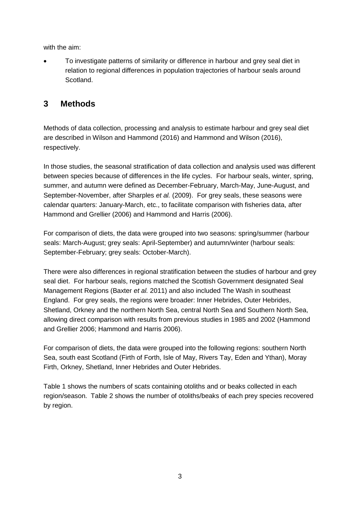with the aim:

 To investigate patterns of similarity or difference in harbour and grey seal diet in relation to regional differences in population trajectories of harbour seals around Scotland.

## <span id="page-7-0"></span>**3 Methods**

Methods of data collection, processing and analysis to estimate harbour and grey seal diet are described in Wilson and Hammond (2016) and Hammond and Wilson (2016), respectively.

In those studies, the seasonal stratification of data collection and analysis used was different between species because of differences in the life cycles. For harbour seals, winter, spring, summer, and autumn were defined as December-February, March-May, June-August, and September-November, after Sharples *et al.* (2009). For grey seals, these seasons were calendar quarters: January-March, etc., to facilitate comparison with fisheries data, after Hammond and Grellier (2006) and Hammond and Harris (2006).

For comparison of diets, the data were grouped into two seasons: spring/summer (harbour seals: March-August; grey seals: April-September) and autumn/winter (harbour seals: September-February; grey seals: October-March).

There were also differences in regional stratification between the studies of harbour and grey seal diet. For harbour seals, regions matched the Scottish Government designated Seal Management Regions (Baxter *et al.* 2011) and also included The Wash in southeast England. For grey seals, the regions were broader: Inner Hebrides, Outer Hebrides, Shetland, Orkney and the northern North Sea, central North Sea and Southern North Sea, allowing direct comparison with results from previous studies in 1985 and 2002 (Hammond and Grellier 2006; Hammond and Harris 2006).

For comparison of diets, the data were grouped into the following regions: southern North Sea, south east Scotland (Firth of Forth, Isle of May, Rivers Tay, Eden and Ythan), Moray Firth, Orkney, Shetland, Inner Hebrides and Outer Hebrides.

Table 1 shows the numbers of scats containing otoliths and or beaks collected in each region/season. Table 2 shows the number of otoliths/beaks of each prey species recovered by region.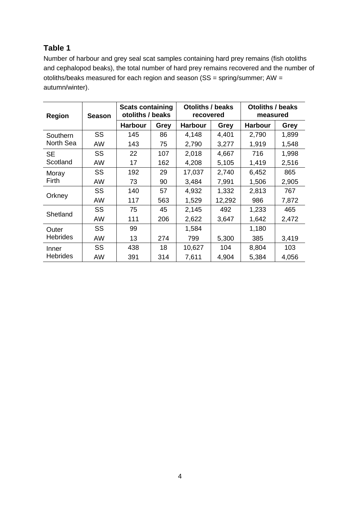## **Table 1**

Number of harbour and grey seal scat samples containing hard prey remains (fish otoliths and cephalopod beaks), the total number of hard prey remains recovered and the number of otoliths/beaks measured for each region and season (SS = spring/summer; AW = autumn/winter).

| Region          | <b>Season</b> | <b>Scats containing</b><br>otoliths / beaks |             | <b>Otoliths / beaks</b><br>recovered |             | <b>Otoliths / beaks</b><br>measured |       |  |
|-----------------|---------------|---------------------------------------------|-------------|--------------------------------------|-------------|-------------------------------------|-------|--|
|                 |               | <b>Harbour</b>                              | <b>Grey</b> | <b>Harbour</b>                       | <b>Grey</b> | <b>Harbour</b>                      | Grey  |  |
| Southern        | SS            | 145                                         | 86          | 4,148                                | 4,401       | 2,790                               | 1,899 |  |
| North Sea       | <b>AW</b>     | 143                                         | 75          | 2,790                                | 3,277       | 1,919                               | 1,548 |  |
| <b>SE</b>       | SS            | 22                                          | 107         | 2,018                                | 4,667       | 716                                 | 1,998 |  |
| Scotland        | AW            | 17                                          | 162         | 4,208                                | 5,105       | 1,419                               | 2,516 |  |
| Moray           | SS            | 192                                         | 29          | 17,037                               | 2,740       | 6,452                               | 865   |  |
| Firth           | AW            | 73                                          | 90          | 3,484                                | 7,991       | 1,506                               | 2,905 |  |
|                 | SS            | 140                                         | 57          | 4,932                                | 1,332       | 2,813                               | 767   |  |
| Orkney          | AW            | 117                                         | 563         | 1,529                                | 12,292      | 986                                 | 7,872 |  |
| Shetland        | SS            | 75                                          | 45          | 2,145                                | 492         | 1,233                               | 465   |  |
|                 | AW            | 111                                         | 206         | 2,622                                | 3,647       | 1,642                               | 2,472 |  |
| Outer           | SS            | 99                                          |             | 1,584                                |             | 1,180                               |       |  |
| <b>Hebrides</b> | AW            | 13                                          | 274         | 799                                  | 5,300       | 385                                 | 3,419 |  |
| Inner           | SS            | 438                                         | 18          | 10,627                               | 104         | 8,804                               | 103   |  |
| <b>Hebrides</b> | AW            | 391                                         | 314         | 7,611                                | 4,904       | 5,384                               | 4,056 |  |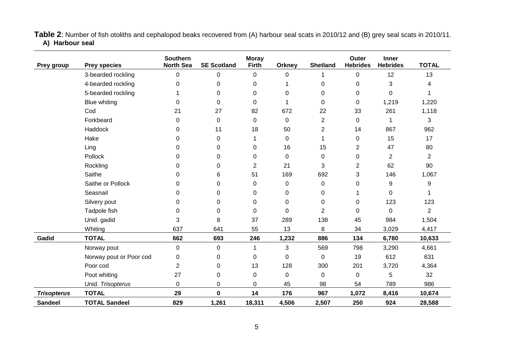**Table 2**: Number of fish otoliths and cephalopod beaks recovered from (A) harbour seal scats in 2010/12 and (B) grey seal scats in 2010/11. **A) Harbour seal**

| Prey group         | <b>Prey species</b>     | <b>Southern</b><br><b>North Sea</b> | <b>SE Scotland</b> | <b>Moray</b><br><b>Firth</b> | <b>Orkney</b> | <b>Shetland</b> | <b>Outer</b><br><b>Hebrides</b> | <b>Inner</b><br><b>Hebrides</b> | <b>TOTAL</b>   |
|--------------------|-------------------------|-------------------------------------|--------------------|------------------------------|---------------|-----------------|---------------------------------|---------------------------------|----------------|
|                    | 3-bearded rockling      | $\pmb{0}$                           | 0                  | 0                            | 0             | 1               | 0                               | 12                              | 13             |
|                    | 4-bearded rockling      | 0                                   | 0                  | 0                            |               | 0               | 0                               | 3                               | 4              |
|                    | 5-bearded rockling      |                                     | 0                  | 0                            | 0             | 0               | $\mathbf 0$                     | 0                               |                |
|                    | <b>Blue whiting</b>     | 0                                   | 0                  | $\Omega$                     | 1             | 0               | 0                               | 1,219                           | 1,220          |
|                    | Cod                     | 21                                  | 27                 | 82                           | 672           | 22              | 33                              | 261                             | 1,118          |
|                    | Forkbeard               | 0                                   | 0                  | $\pmb{0}$                    | 0             | 2               | $\mathbf 0$                     | 1                               | 3              |
|                    | Haddock                 | 0                                   | 11                 | 18                           | 50            | 2               | 14                              | 867                             | 962            |
|                    | Hake                    | 0                                   | 0                  |                              | 0             | 1               | 0                               | 15                              | 17             |
|                    | Ling                    | 0                                   | 0                  | 0                            | 16            | 15              | $\overline{2}$                  | 47                              | 80             |
|                    | Pollock                 | 0                                   | 0                  | 0                            | 0             | $\Omega$        | 0                               | $\overline{2}$                  | $\overline{2}$ |
|                    | Rockling                | 0                                   | 0                  | $\overline{2}$               | 21            | 3               | $\overline{2}$                  | 62                              | 90             |
|                    | Saithe                  | 0                                   | 6                  | 51                           | 169           | 692             | 3                               | 146                             | 1,067          |
|                    | Saithe or Pollock       | 0                                   | $\Omega$           | 0                            | 0             | 0               | 0                               | 9                               | 9              |
|                    | Seasnail                | 0                                   | 0                  | 0                            | 0             | 0               |                                 | 0                               |                |
|                    | Silvery pout            | 0                                   | 0                  | $\Omega$                     | 0             | 0               | 0                               | 123                             | 123            |
|                    | Tadpole fish            | 0                                   | 0                  | $\Omega$                     | 0             | $\overline{2}$  | $\Omega$                        | $\Omega$                        | $\overline{2}$ |
|                    | Unid. gadid             | 3                                   | 8                  | 37                           | 289           | 138             | 45                              | 984                             | 1,504          |
|                    | Whiting                 | 637                                 | 641                | 55                           | 13            | 8               | 34                              | 3,029                           | 4,417          |
| Gadid              | <b>TOTAL</b>            | 662                                 | 693                | 246                          | 1,232         | 886             | 134                             | 6,780                           | 10,633         |
|                    | Norway pout             | 0                                   | 0                  | 1                            | 3             | 569             | 798                             | 3,290                           | 4,661          |
|                    | Norway pout or Poor cod | 0                                   | 0                  | 0                            | 0             | 0               | 19                              | 612                             | 631            |
|                    | Poor cod                | $\overline{2}$                      | 0                  | 13                           | 128           | 300             | 201                             | 3,720                           | 4,364          |
|                    | Pout whiting            | 27                                  | 0                  | 0                            | 0             | 0               | 0                               | 5                               | 32             |
|                    | Unid. Trisopterus       | 0                                   | 0                  | $\pmb{0}$                    | 45            | 98              | 54                              | 789                             | 986            |
| <b>Trisopterus</b> | <b>TOTAL</b>            | 29                                  | $\mathbf 0$        | 14                           | 176           | 967             | 1,072                           | 8,416                           | 10,674         |
| <b>Sandeel</b>     | <b>TOTAL Sandeel</b>    | 829                                 | 1,261              | 18,311                       | 4,506         | 2,507           | 250                             | 924                             | 28,588         |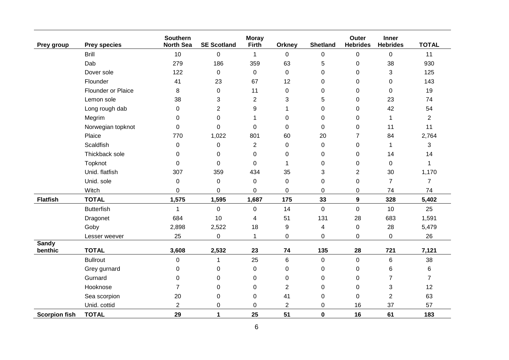| Prey group              | <b>Prey species</b> | <b>Southern</b><br><b>North Sea</b> | <b>SE Scotland</b> | <b>Moray</b><br><b>Firth</b> | Orkney           | <b>Shetland</b>  | Outer<br><b>Hebrides</b> | Inner<br><b>Hebrides</b> | <b>TOTAL</b>   |
|-------------------------|---------------------|-------------------------------------|--------------------|------------------------------|------------------|------------------|--------------------------|--------------------------|----------------|
|                         | <b>Brill</b>        | 10                                  | 0                  | $\mathbf{1}$                 | $\mathbf 0$      | 0                | 0                        | 0                        | 11             |
|                         | Dab                 | 279                                 | 186                | 359                          | 63               | 5                | $\pmb{0}$                | 38                       | 930            |
|                         | Dover sole          | 122                                 | 0                  | $\mathbf 0$                  | $\mathbf 0$      | $\mathbf 0$      | 0                        | 3                        | 125            |
|                         | Flounder            | 41                                  | 23                 | 67                           | 12               | 0                | 0                        | 0                        | 143            |
|                         | Flounder or Plaice  | 8                                   | 0                  | 11                           | $\mathbf 0$      | 0                | 0                        | 0                        | 19             |
|                         | Lemon sole          | 38                                  | 3                  | $\overline{2}$               | 3                | 5                | 0                        | 23                       | 74             |
|                         | Long rough dab      | 0                                   | $\overline{2}$     | 9                            | $\mathbf{1}$     | 0                | 0                        | 42                       | 54             |
|                         | Megrim              | 0                                   | 0                  | 1                            | $\mathsf 0$      | 0                | 0                        | 1                        | 2              |
|                         | Norwegian topknot   | 0                                   | 0                  | 0                            | $\mathbf 0$      | 0                | 0                        | 11                       | 11             |
|                         | Plaice              | 770                                 | 1,022              | 801                          | 60               | 20               | 7                        | 84                       | 2,764          |
|                         | <b>Scaldfish</b>    | $\mathbf 0$                         | 0                  | $\overline{2}$               | $\mathbf 0$      | 0                | $\boldsymbol{0}$         | $\mathbf{1}$             | 3              |
|                         | Thickback sole      | $\pmb{0}$                           | 0                  | $\boldsymbol{0}$             | $\boldsymbol{0}$ | 0                | 0                        | 14                       | 14             |
|                         | Topknot             | 0                                   | 0                  | 0                            | $\mathbf{1}$     | 0                | 0                        | 0                        | 1              |
|                         | Unid. flatfish      | 307                                 | 359                | 434                          | 35               | 3                | $\overline{c}$           | 30                       | 1,170          |
|                         | Unid. sole          | 0                                   | 0                  | 0                            | $\mathbf 0$      | 0                | 0                        | $\overline{7}$           | $\overline{7}$ |
|                         | Witch               | 0                                   | 0                  | 0                            | 0                | $\Omega$         | 0                        | 74                       | 74             |
| <b>Flatfish</b>         | <b>TOTAL</b>        | 1,575                               | 1,595              | 1,687                        | 175              | 33               | 9                        | 328                      | 5,402          |
|                         | <b>Butterfish</b>   | 1                                   | $\mathbf 0$        | $\mathbf 0$                  | 14               | $\mathbf 0$      | $\mathbf 0$              | 10                       | 25             |
|                         | Dragonet            | 684                                 | 10                 | 4                            | 51               | 131              | 28                       | 683                      | 1,591          |
|                         | Goby                | 2,898                               | 2,522              | 18                           | $\boldsymbol{9}$ | 4                | $\pmb{0}$                | 28                       | 5,479          |
|                         | Lesser weever       | 25                                  | 0                  | $\mathbf{1}$                 | 0                | 0                | 0                        | 0                        | 26             |
| <b>Sandy</b><br>benthic | <b>TOTAL</b>        | 3,608                               | 2,532              | 23                           | 74               | 135              | 28                       | 721                      | 7,121          |
|                         | <b>Bullrout</b>     | $\boldsymbol{0}$                    | 1                  | 25                           | $\,6$            | $\boldsymbol{0}$ | $\pmb{0}$                | $\,6$                    | 38             |
|                         | Grey gurnard        | 0                                   | 0                  | $\pmb{0}$                    | $\mathsf 0$      | 0                | 0                        | 6                        | 6              |
|                         | Gurnard             | 0                                   | 0                  | 0                            | 0                | 0                | 0                        | 7                        | $\overline{7}$ |
|                         | Hooknose            | $\overline{7}$                      | 0                  | 0                            | $\overline{2}$   | $\mathbf 0$      | $\mathbf 0$              | 3                        | 12             |
|                         | Sea scorpion        | 20                                  | 0                  | $\boldsymbol{0}$             | 41               | 0                | 0                        | $\overline{2}$           | 63             |
|                         | Unid. cottid        | $\overline{c}$                      | 0                  | $\Omega$                     | $\overline{2}$   | 0                | 16                       | 37                       | 57             |
| <b>Scorpion fish</b>    | <b>TOTAL</b>        | 29                                  | 1                  | 25                           | 51               | $\mathbf 0$      | 16                       | 61                       | 183            |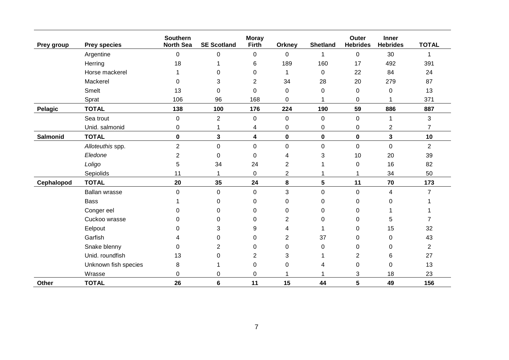| Prey group     | <b>Prey species</b>  | <b>Southern</b><br><b>North Sea</b> | <b>SE Scotland</b> | <b>Moray</b><br>Firth | <b>Orkney</b>  | <b>Shetland</b>  | Outer<br><b>Hebrides</b> | <b>Inner</b><br><b>Hebrides</b> | <b>TOTAL</b>   |
|----------------|----------------------|-------------------------------------|--------------------|-----------------------|----------------|------------------|--------------------------|---------------------------------|----------------|
|                | Argentine            | $\pmb{0}$                           | 0                  | 0                     | 0              | $\mathbf 1$      | $\pmb{0}$                | 30                              | 1              |
|                | Herring              | 18                                  | 1                  | 6                     | 189            | 160              | 17                       | 492                             | 391            |
|                | Horse mackerel       |                                     | 0                  | 0                     | $\mathbf{1}$   | 0                | 22                       | 84                              | 24             |
|                | Mackerel             | 0                                   | 3                  | $\overline{2}$        | 34             | 28               | 20                       | 279                             | 87             |
|                | <b>Smelt</b>         | 13                                  | $\Omega$           | $\Omega$              | 0              | $\Omega$         | 0                        | 0                               | 13             |
|                | Sprat                | 106                                 | 96                 | 168                   | 0              |                  | 0                        |                                 | 371            |
| <b>Pelagic</b> | <b>TOTAL</b>         | 138                                 | 100                | 176                   | 224            | 190              | 59                       | 886                             | 887            |
|                | Sea trout            | 0                                   | $\overline{2}$     | 0                     | $\pmb{0}$      | $\mathbf 0$      | 0                        |                                 | 3              |
|                | Unid. salmonid       | 0                                   | 1                  | 4                     | 0              | $\pmb{0}$        | 0                        | $\overline{2}$                  | 7              |
| Salmonid       | <b>TOTAL</b>         | 0                                   | 3                  | 4                     | 0              | $\pmb{0}$        | 0                        | 3                               | 10             |
|                | Alloteuthis spp.     | $\overline{2}$                      | 0                  | 0                     | 0              | $\boldsymbol{0}$ | 0                        | $\mathbf 0$                     | $\overline{2}$ |
|                | Eledone              | 2                                   | $\Omega$           | $\Omega$              | 4              | 3                | 10                       | 20                              | 39             |
|                | Loligo               | 5                                   | 34                 | 24                    | $\overline{2}$ |                  | 0                        | 16                              | 82             |
|                | Sepiolids            | 11                                  | 1                  | 0                     | $\overline{2}$ |                  |                          | 34                              | 50             |
| Cephalopod     | <b>TOTAL</b>         | 20                                  | 35                 | 24                    | 8              | $5\phantom{.0}$  | 11                       | 70                              | 173            |
|                | Ballan wrasse        | 0                                   | 0                  | 0                     | 3              | $\boldsymbol{0}$ | 0                        | 4                               | $\overline{7}$ |
|                | <b>Bass</b>          |                                     | 0                  | 0                     | 0              | $\Omega$         | 0                        | 0                               |                |
|                | Conger eel           | 0                                   | 0                  | 0                     | 0              | 0                | 0                        |                                 |                |
|                | Cuckoo wrasse        | 0                                   | 0                  | 0                     | $\overline{2}$ | $\pmb{0}$        | 0                        | 5                               |                |
|                | Eelpout              | 0                                   | 3                  | 9                     | 4              |                  | 0                        | 15                              | 32             |
|                | Garfish              | 4                                   | 0                  | 0                     | $\overline{c}$ | 37               | 0                        | 0                               | 43             |
|                | Snake blenny         | 0                                   | $\overline{2}$     | 0                     | 0              | 0                | 0                        | 0                               | 2              |
|                | Unid. roundfish      | 13                                  | 0                  | 2                     | 3              |                  | $\overline{c}$           | 6                               | 27             |
|                | Unknown fish species | 8                                   |                    | 0                     | 0              | 4                | 0                        | 0                               | 13             |
|                | Wrasse               | 0                                   | 0                  | 0                     | 1              |                  | 3                        | 18                              | 23             |
| <b>Other</b>   | <b>TOTAL</b>         | 26                                  | 6                  | 11                    | 15             | 44               | 5                        | 49                              | 156            |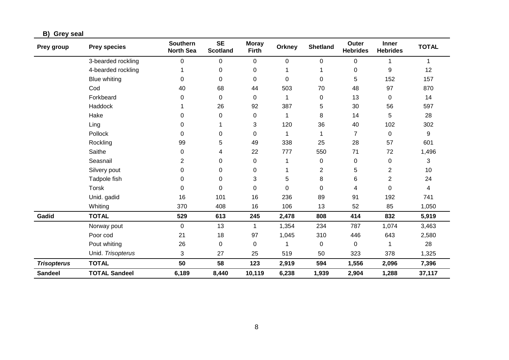### **B) Grey seal**

| Prey group         | <b>Prey species</b>  | <b>Southern</b><br><b>North Sea</b> | <b>SE</b><br><b>Scotland</b> | <b>Moray</b><br><b>Firth</b> | <b>Orkney</b> | <b>Shetland</b> | Outer<br><b>Hebrides</b> | <b>Inner</b><br><b>Hebrides</b> | <b>TOTAL</b> |
|--------------------|----------------------|-------------------------------------|------------------------------|------------------------------|---------------|-----------------|--------------------------|---------------------------------|--------------|
|                    | 3-bearded rockling   | $\pmb{0}$                           | 0                            | $\pmb{0}$                    | 0             | 0               | 0                        | 1                               | 1            |
|                    | 4-bearded rockling   |                                     | 0                            | 0                            |               |                 | 0                        | 9                               | 12           |
|                    | <b>Blue whiting</b>  | 0                                   | 0                            | 0                            | 0             | 0               | 5                        | 152                             | 157          |
|                    | Cod                  | 40                                  | 68                           | 44                           | 503           | 70              | 48                       | 97                              | 870          |
|                    | Forkbeard            | 0                                   | 0                            | 0                            | 1             | 0               | 13                       | 0                               | 14           |
|                    | Haddock              |                                     | 26                           | 92                           | 387           | 5               | 30                       | 56                              | 597          |
|                    | Hake                 | 0                                   | 0                            | 0                            | 1             | 8               | 14                       | 5                               | 28           |
|                    | Ling                 | 0                                   |                              | 3                            | 120           | 36              | 40                       | 102                             | 302          |
|                    | Pollock              | 0                                   | 0                            | 0                            |               |                 | 7                        | 0                               | 9            |
|                    | Rockling             | 99                                  | 5                            | 49                           | 338           | 25              | 28                       | 57                              | 601          |
|                    | Saithe               | 0                                   | 4                            | 22                           | 777           | 550             | 71                       | 72                              | 1,496        |
|                    | Seasnail             | 2                                   | 0                            | 0                            |               | 0               | 0                        | 0                               | 3            |
|                    | Silvery pout         | 0                                   | 0                            | 0                            |               | $\mathbf 2$     | 5                        | $\overline{c}$                  | 10           |
|                    | Tadpole fish         | 0                                   | 0                            | 3                            | 5             | 8               | 6                        | $\overline{2}$                  | 24           |
|                    | Torsk                | 0                                   | 0                            | 0                            | $\Omega$      | 0               | 4                        | 0                               | 4            |
|                    | Unid. gadid          | 16                                  | 101                          | 16                           | 236           | 89              | 91                       | 192                             | 741          |
|                    | Whiting              | 370                                 | 408                          | 16                           | 106           | 13              | 52                       | 85                              | 1,050        |
| Gadid              | <b>TOTAL</b>         | 529                                 | 613                          | 245                          | 2,478         | 808             | 414                      | 832                             | 5,919        |
|                    | Norway pout          | $\mathbf 0$                         | 13                           | 1                            | 1,354         | 234             | 787                      | 1,074                           | 3,463        |
|                    | Poor cod             | 21                                  | 18                           | 97                           | 1,045         | 310             | 446                      | 643                             | 2,580        |
|                    | Pout whiting         | 26                                  | 0                            | 0                            |               | 0               | 0                        | 1                               | 28           |
|                    | Unid. Trisopterus    | 3                                   | 27                           | 25                           | 519           | 50              | 323                      | 378                             | 1,325        |
| <b>Trisopterus</b> | <b>TOTAL</b>         | 50                                  | 58                           | 123                          | 2,919         | 594             | 1,556                    | 2,096                           | 7,396        |
| <b>Sandeel</b>     | <b>TOTAL Sandeel</b> | 6,189                               | 8,440                        | 10,119                       | 6,238         | 1,939           | 2,904                    | 1,288                           | 37,117       |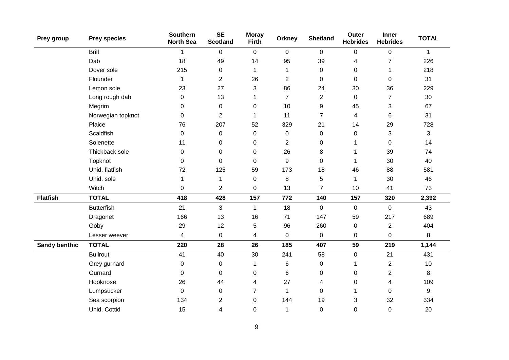| Prey group           | <b>Prey species</b> | <b>Southern</b><br><b>North Sea</b> | <b>SE</b><br><b>Scotland</b> | <b>Moray</b><br><b>Firth</b> | <b>Orkney</b>  | <b>Shetland</b> | <b>Outer</b><br><b>Hebrides</b> | Inner<br><b>Hebrides</b> | <b>TOTAL</b> |
|----------------------|---------------------|-------------------------------------|------------------------------|------------------------------|----------------|-----------------|---------------------------------|--------------------------|--------------|
|                      | <b>Brill</b>        | 1                                   | $\mathbf 0$                  | $\mathbf 0$                  | $\mathbf 0$    | $\mathbf 0$     | 0                               | $\pmb{0}$                | $\mathbf{1}$ |
|                      | Dab                 | 18                                  | 49                           | 14                           | 95             | 39              | 4                               | $\overline{7}$           | 226          |
|                      | Dover sole          | 215                                 | 0                            | 1                            | 1              | $\pmb{0}$       | 0                               | 1                        | 218          |
|                      | Flounder            | 1                                   | $\overline{2}$               | 26                           | $\overline{2}$ | $\mathbf 0$     | 0                               | 0                        | 31           |
|                      | Lemon sole          | 23                                  | 27                           | 3                            | 86             | 24              | 30                              | 36                       | 229          |
|                      | Long rough dab      | 0                                   | 13                           | 1                            | $\overline{7}$ | 2               | 0                               | $\overline{7}$           | 30           |
|                      | Megrim              | $\pmb{0}$                           | $\pmb{0}$                    | 0                            | 10             | 9               | 45                              | 3                        | 67           |
|                      | Norwegian topknot   | $\mathbf 0$                         | $\overline{2}$               | 1                            | 11             | $\overline{7}$  | 4                               | 6                        | 31           |
|                      | Plaice              | 76                                  | 207                          | 52                           | 329            | 21              | 14                              | 29                       | 728          |
|                      | Scaldfish           | $\mathbf 0$                         | 0                            | 0                            | $\mathbf 0$    | $\pmb{0}$       | 0                               | 3                        | 3            |
|                      | Solenette           | 11                                  | 0                            | 0                            | $\overline{2}$ | 0               | 1                               | 0                        | 14           |
|                      | Thickback sole      | 0                                   | $\pmb{0}$                    | $\pmb{0}$                    | 26             | 8               | 1                               | 39                       | 74           |
|                      | Topknot             | $\mathbf 0$                         | $\mathbf 0$                  | $\mathbf 0$                  | 9              | $\mathbf 0$     | 1                               | 30                       | 40           |
|                      | Unid. flatfish      | 72                                  | 125                          | 59                           | 173            | 18              | 46                              | 88                       | 581          |
|                      | Unid. sole          | 1                                   | 1                            | $\mathbf 0$                  | $\,8\,$        | 5               | 1                               | 30                       | 46           |
|                      | Witch               | $\overline{0}$                      | $\overline{2}$               | 0                            | 13             | $\overline{7}$  | 10                              | 41                       | 73           |
| <b>Flatfish</b>      | <b>TOTAL</b>        | 418                                 | 428                          | 157                          | 772            | 140             | 157                             | 320                      | 2,392        |
|                      | <b>Butterfish</b>   | 21                                  | 3                            | $\mathbf{1}$                 | 18             | $\mathbf 0$     | $\mathbf 0$                     | $\mathbf 0$              | 43           |
|                      | Dragonet            | 166                                 | 13                           | 16                           | 71             | 147             | 59                              | 217                      | 689          |
|                      | Goby                | 29                                  | 12                           | 5                            | 96             | 260             | $\mathbf 0$                     | $\overline{2}$           | 404          |
|                      | Lesser weever       | $\overline{\mathbf{4}}$             | $\pmb{0}$                    | 4                            | $\mathbf 0$    | $\pmb{0}$       | 0                               | $\pmb{0}$                | 8            |
| <b>Sandy benthic</b> | <b>TOTAL</b>        | 220                                 | 28                           | 26                           | 185            | 407             | 59                              | 219                      | 1,144        |
|                      | <b>Bullrout</b>     | 41                                  | 40                           | 30                           | 241            | 58              | $\mathbf 0$                     | 21                       | 431          |
|                      | Grey gurnard        | $\boldsymbol{0}$                    | $\pmb{0}$                    | 1                            | 6              | $\,0\,$         | 1                               | $\overline{2}$           | 10           |
|                      | Gurnard             | 0                                   | 0                            | 0                            | 6              | 0               | 0                               | $\overline{2}$           | 8            |
|                      | Hooknose            | 26                                  | 44                           | 4                            | 27             | 4               | 0                               | 4                        | 109          |
|                      | Lumpsucker          | 0                                   | 0                            | $\overline{7}$               | $\mathbf 1$    | 0               | 1                               | 0                        | 9            |
|                      | Sea scorpion        | 134                                 | 2                            | 0                            | 144            | 19              | 3                               | 32                       | 334          |
|                      | Unid. Cottid        | 15                                  | 4                            | 0                            | 1              | 0               | 0                               | 0                        | 20           |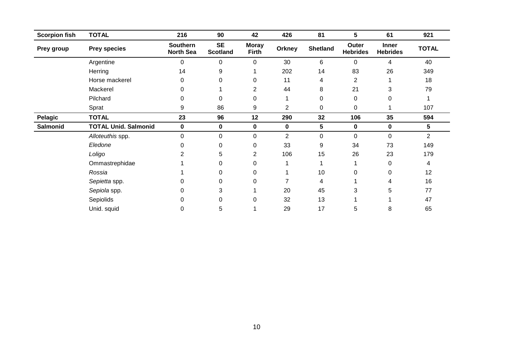| <b>Scorpion fish</b> | <b>TOTAL</b>                | 216                                 | 90                           | 42                           | 426            | 81              | 5                        | 61                              | 921          |
|----------------------|-----------------------------|-------------------------------------|------------------------------|------------------------------|----------------|-----------------|--------------------------|---------------------------------|--------------|
| Prey group           | <b>Prey species</b>         | <b>Southern</b><br><b>North Sea</b> | <b>SE</b><br><b>Scotland</b> | <b>Moray</b><br><b>Firth</b> | Orkney         | <b>Shetland</b> | Outer<br><b>Hebrides</b> | <b>Inner</b><br><b>Hebrides</b> | <b>TOTAL</b> |
|                      | Argentine                   | 0                                   | $\Omega$                     | 0                            | 30             | 6               | 0                        | 4                               | 40           |
|                      | Herring                     | 14                                  | 9                            |                              | 202            | 14              | 83                       | 26                              | 349          |
|                      | Horse mackerel              | 0                                   | 0                            | 0                            | 11             | 4               | 2                        |                                 | 18           |
|                      | Mackerel                    | 0                                   |                              | 2                            | 44             | 8               | 21                       | 3                               | 79           |
|                      | Pilchard                    | 0                                   | 0                            | 0                            |                | 0               | 0                        | 0                               |              |
|                      | Sprat                       | 9                                   | 86                           | 9                            | $\overline{2}$ | $\pmb{0}$       | 0                        |                                 | 107          |
| Pelagic              | <b>TOTAL</b>                | 23                                  | 96                           | 12                           | 290            | 32              | 106                      | 35                              | 594          |
| Salmonid             | <b>TOTAL Unid. Salmonid</b> | $\pmb{0}$                           | $\pmb{0}$                    | $\pmb{0}$                    | 0              | 5               | 0                        | $\pmb{0}$                       | 5            |
|                      | Alloteuthis spp.            | 0                                   | 0                            | 0                            | $\overline{2}$ | 0               | $\Omega$                 | 0                               | 2            |
|                      | Eledone                     |                                     | $\Omega$                     | 0                            | 33             | 9               | 34                       | 73                              | 149          |
|                      | Loligo                      |                                     | 5                            | 2                            | 106            | 15              | 26                       | 23                              | 179          |
|                      | Ommastrephidae              |                                     | 0                            | $\Omega$                     |                |                 |                          | 0                               | 4            |
|                      | Rossia                      |                                     | 0                            | $\Omega$                     |                | 10              | 0                        | 0                               | 12           |
|                      | Sepietta spp.               |                                     | 0                            | $\Omega$                     |                | 4               |                          |                                 | 16           |
|                      | Sepiola spp.                | 0                                   | 3                            |                              | 20             | 45              | 3                        | 5                               | 77           |
|                      | Sepiolids                   |                                     | 0                            | $\Omega$                     | 32             | 13              |                          |                                 | 47           |
|                      | Unid. squid                 | 0                                   | 5                            |                              | 29             | 17              | 5                        | 8                               | 65           |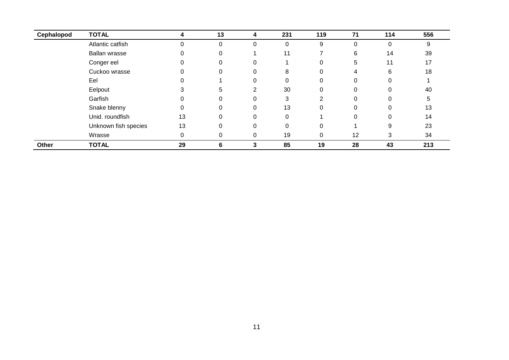| Cephalopod | <b>TOTAL</b>         | 4  | 13       | 4        | 231      | 119      | 71       | 114      | 556 |
|------------|----------------------|----|----------|----------|----------|----------|----------|----------|-----|
|            | Atlantic catfish     |    | 0        | 0        | 0        | 9        | 0        | 0        | 9   |
|            | Ballan wrasse        |    | 0        |          | 11       |          | 6        | 14       | 39  |
|            | Conger eel           |    | 0        |          |          | 0        | 5        | 11       | 17  |
|            | Cuckoo wrasse        |    | 0        |          | 8        | 0        | 4        | 6        | 18  |
|            | Eel                  |    |          | 0        | 0        | $\Omega$ | 0        | 0        |     |
|            | Eelpout              |    | 5        | ົ        | 30       | 0        | 0        | 0        | 40  |
|            | Garfish              |    | 0        |          | 3        | 2        |          | 0        | 5   |
|            | Snake blenny         |    | $\Omega$ | 0        | 13       | 0        | $\Omega$ | 0        | 13  |
|            | Unid. roundfish      | 13 | $\Omega$ |          | $\Omega$ |          | $\Omega$ | $\Omega$ | 14  |
|            | Unknown fish species | 13 | $\Omega$ | $\Omega$ | $\Omega$ | $\Omega$ |          | 9        | 23  |
|            | Wrasse               | 0  | 0        | 0        | 19       | 0        | 12       | 3        | 34  |
| Other      | <b>TOTAL</b>         | 29 | 6        |          | 85       | 19       | 28       | 43       | 213 |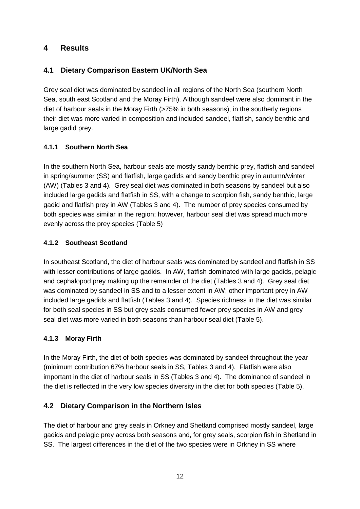## <span id="page-16-0"></span>**4 Results**

## <span id="page-16-1"></span>**4.1 Dietary Comparison Eastern UK/North Sea**

Grey seal diet was dominated by sandeel in all regions of the North Sea (southern North Sea, south east Scotland and the Moray Firth). Although sandeel were also dominant in the diet of harbour seals in the Moray Firth (>75% in both seasons), in the southerly regions their diet was more varied in composition and included sandeel, flatfish, sandy benthic and large gadid prey.

#### <span id="page-16-2"></span>**4.1.1 Southern North Sea**

In the southern North Sea, harbour seals ate mostly sandy benthic prey, flatfish and sandeel in spring/summer (SS) and flatfish, large gadids and sandy benthic prey in autumn/winter (AW) (Tables 3 and 4). Grey seal diet was dominated in both seasons by sandeel but also included large gadids and flatfish in SS, with a change to scorpion fish, sandy benthic, large gadid and flatfish prey in AW (Tables 3 and 4). The number of prey species consumed by both species was similar in the region; however, harbour seal diet was spread much more evenly across the prey species (Table 5)

#### <span id="page-16-3"></span>**4.1.2 Southeast Scotland**

In southeast Scotland, the diet of harbour seals was dominated by sandeel and flatfish in SS with lesser contributions of large gadids. In AW, flatfish dominated with large gadids, pelagic and cephalopod prey making up the remainder of the diet (Tables 3 and 4). Grey seal diet was dominated by sandeel in SS and to a lesser extent in AW; other important prey in AW included large gadids and flatfish (Tables 3 and 4). Species richness in the diet was similar for both seal species in SS but grey seals consumed fewer prey species in AW and grey seal diet was more varied in both seasons than harbour seal diet (Table 5).

#### <span id="page-16-4"></span>**4.1.3 Moray Firth**

In the Moray Firth, the diet of both species was dominated by sandeel throughout the year (minimum contribution 67% harbour seals in SS, Tables 3 and 4). Flatfish were also important in the diet of harbour seals in SS (Tables 3 and 4). The dominance of sandeel in the diet is reflected in the very low species diversity in the diet for both species (Table 5).

## <span id="page-16-5"></span>**4.2 Dietary Comparison in the Northern Isles**

The diet of harbour and grey seals in Orkney and Shetland comprised mostly sandeel, large gadids and pelagic prey across both seasons and, for grey seals, scorpion fish in Shetland in SS. The largest differences in the diet of the two species were in Orkney in SS where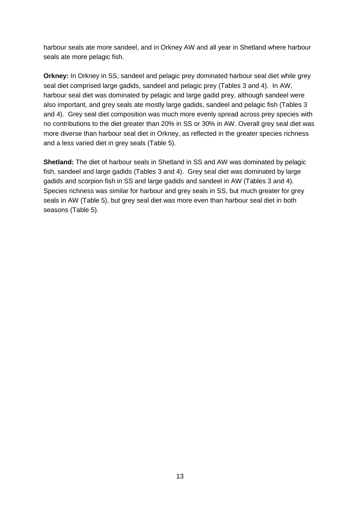harbour seals ate more sandeel, and in Orkney AW and all year in Shetland where harbour seals ate more pelagic fish.

**Orkney:** In Orkney in SS, sandeel and pelagic prey dominated harbour seal diet while grey seal diet comprised large gadids, sandeel and pelagic prey (Tables 3 and 4). In AW, harbour seal diet was dominated by pelagic and large gadid prey, although sandeel were also important, and grey seals ate mostly large gadids, sandeel and pelagic fish (Tables 3 and 4). Grey seal diet composition was much more evenly spread across prey species with no contributions to the diet greater than 20% in SS or 30% in AW. Overall grey seal diet was more diverse than harbour seal diet in Orkney, as reflected in the greater species richness and a less varied diet in grey seals (Table 5).

**Shetland:** The diet of harbour seals in Shetland in SS and AW was dominated by pelagic fish, sandeel and large gadids (Tables 3 and 4). Grey seal diet was dominated by large gadids and scorpion fish in SS and large gadids and sandeel in AW (Tables 3 and 4). Species richness was similar for harbour and grey seals in SS, but much greater for grey seals in AW (Table 5), but grey seal diet was more even than harbour seal diet in both seasons (Table 5).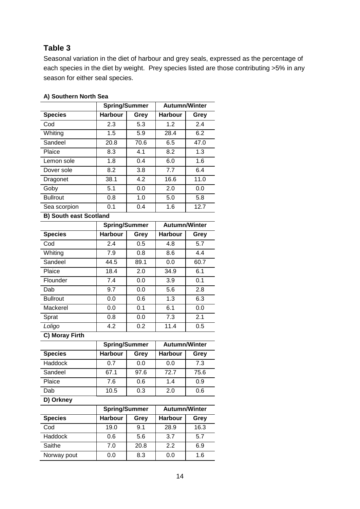## **Table 3**

Seasonal variation in the diet of harbour and grey seals, expressed as the percentage of each species in the diet by weight. Prey species listed are those contributing >5% in any season for either seal species.

|                               | <b>Spring/Summer</b> |      | Autumn/Winter        |                  |
|-------------------------------|----------------------|------|----------------------|------------------|
| <b>Species</b>                | <b>Harbour</b>       | Grey | <b>Harbour</b>       | Grey             |
| Cod                           | 2.3                  | 5.3  | 1.2                  | 2.4              |
| Whiting                       | 1.5                  | 5.9  | 28.4                 | 6.2              |
| Sandeel                       | 20.8                 | 70.6 | 6.5                  | 47.0             |
| Plaice                        | 8.3                  | 4.1  | 8.2                  | 1.3              |
| Lemon sole                    | 1.8                  | 0.4  | 6.0                  | 1.6              |
| Dover sole                    | 8.2                  | 3.8  | 7.7                  | 6.4              |
| Dragonet                      | 38.1                 | 4.2  | 16.6                 | 11.0             |
| Goby                          | 5.1                  | 0.0  | 2.0                  | 0.0              |
| <b>Bullrout</b>               | 0.8                  | 1.0  | 5.0                  | 5.8              |
| Sea scorpion                  | 0.1                  | 0.4  | 1.6                  | 12.7             |
| <b>B) South east Scotland</b> |                      |      |                      |                  |
|                               | <b>Spring/Summer</b> |      | <b>Autumn/Winter</b> |                  |
| <b>Species</b>                | <b>Harbour</b>       | Grey | <b>Harbour</b>       | Grey             |
| Cod                           | 2.4                  | 0.5  | 4.8                  | $\overline{5.7}$ |
| Whiting                       | 7.9                  | 0.8  | 8.6                  | 4.4              |
| Sandeel                       | 44.5                 | 89.1 | 0.0                  | 60.7             |
| Plaice                        | 18.4                 | 2.0  | 34.9                 | 6.1              |
| Flounder                      | $\overline{7.4}$     | 0.0  | 3.9                  | 0.1              |
| Dab                           | 9.7                  | 0.0  | 5.6                  | 2.8              |
| <b>Bullrout</b>               | 0.0                  | 0.6  | 1.3                  | 6.3              |
| Mackerel                      | 0.0                  | 0.1  | 6.1                  | 0.0              |
| Sprat                         | 0.8                  | 0.0  | 7.3                  | 2.1              |
| Loligo                        | 4.2                  | 0.2  | 11.4                 | 0.5              |
| C) Moray Firth                |                      |      |                      |                  |
|                               | <b>Spring/Summer</b> |      | <b>Autumn/Winter</b> |                  |
| <b>Species</b>                | <b>Harbour</b>       | Grey | <b>Harbour</b>       | Grey             |
| Haddock                       | 0.7                  | 0.0  | 0.0                  | 7.3              |
| Sandeel                       | 67.1                 | 97.6 | 72.7                 | 75.6             |
| Plaice                        | 7.6                  | 0.6  | 1.4                  | 0.9              |
| Dab                           | 10.5                 | 0.3  | 2.0                  | 0.6              |
| D) Orkney                     |                      |      |                      |                  |
|                               | <b>Spring/Summer</b> |      | <b>Autumn/Winter</b> |                  |
| <b>Species</b>                | <b>Harbour</b>       | Grey | <b>Harbour</b>       | Grey             |
| $\overline{\text{Cod}}$       | 19.0                 | 9.1  | 28.9                 | 16.3             |
| Haddock                       | 5.6<br>3.7<br>0.6    |      | 5.7                  |                  |
| Saithe                        | 7.0                  | 20.8 | $\overline{2.2}$     | 6.9              |
| Norway pout                   | 0.0                  | 8.3  | 0.0                  | 1.6              |

#### **A) Southern North Sea**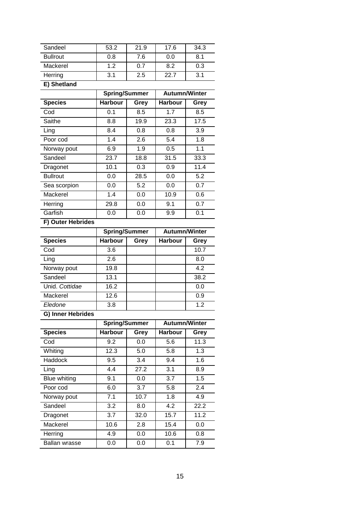| Sandeel                         | 53.2                                   | 21.9        | 17.6                 | 34.3        |
|---------------------------------|----------------------------------------|-------------|----------------------|-------------|
| <b>Bullrout</b>                 | 0.8                                    | 7.6         | 0.0                  | 8.1         |
| Mackerel                        | 1.2                                    | 0.7         | 8.2                  | 0.3         |
| Herring                         | 3.1                                    | 2.5         | 22.7                 | 3.1         |
| E) Shetland                     |                                        |             |                      |             |
|                                 | <b>Spring/Summer</b>                   |             | <b>Autumn/Winter</b> |             |
| <b>Species</b>                  | <b>Harbour</b>                         | Grey        | <b>Harbour</b>       | Grey        |
| Cod                             | 0.1                                    | 8.5         | 1.7                  | 8.5         |
| Saithe                          | 8.8                                    | 19.9        | 23.3                 | 17.5        |
| Ling                            | 8.4                                    | 0.8         | 0.8                  | 3.9         |
| Poor cod                        | 1.4                                    | 2.6         | 5.4                  | 1.8         |
|                                 | 6.9                                    | 1.9         | 0.5                  | 1.1         |
| Norway pout<br>Sandeel          | 23.7                                   | 18.8        | 31.5                 | 33.3        |
|                                 |                                        |             | 0.9                  | 11.4        |
| Dragonet<br><b>Bullrout</b>     | 10.1<br>0.0                            | 0.3<br>28.5 | 0.0                  | 5.2         |
|                                 |                                        | 5.2         | 0.0                  | 0.7         |
| Sea scorpion<br>Mackerel        | 0.0<br>1.4                             |             | 10.9                 | 0.6         |
|                                 |                                        | 0.0         | 9.1                  | 0.7         |
| Herring<br>Garfish              | 29.8                                   | 0.0         |                      |             |
|                                 | 0.0                                    | 0.0         | 9.9                  | 0.1         |
| F) Outer Hebrides               |                                        |             |                      |             |
|                                 | <b>Spring/Summer</b>                   |             | <b>Autumn/Winter</b> |             |
| <b>Species</b>                  | <b>Harbour</b>                         | Grey        | <b>Harbour</b>       | Grey        |
| Cod                             | 3.6<br>2.6                             |             |                      | 10.7<br>8.0 |
| Ling                            |                                        |             |                      | 4.2         |
| Norway pout<br>Sandeel          | 19.8                                   |             |                      |             |
|                                 | 13.1                                   |             |                      | 38.2        |
| Unid. Cottidae                  | 16.2                                   |             |                      | 0.0         |
| Mackerel                        | 12.6                                   |             |                      | 0.9         |
| Fledone                         | 3.8                                    |             |                      | 1.2         |
| G) Inner Hebrides               |                                        |             |                      |             |
|                                 | <b>Spring/Summer</b><br><b>Harbour</b> |             | <b>Autumn/Winter</b> |             |
| <b>Species</b>                  |                                        | Grey        | <b>Harbour</b>       | Grey        |
| Cod                             | 9.2                                    | 0.0         | 5.6                  | 11.3        |
| Whiting                         | 12.3                                   | 5.0         | 5.8                  | 1.3         |
| <b>Haddock</b>                  | 9.5                                    | 3.4         | 9.4                  | 1.6         |
|                                 |                                        |             |                      |             |
| Ling                            | 4.4                                    | 27.2        | 3.1                  | 8.9         |
| <b>Blue whiting</b>             | 9.1                                    | 0.0         | 3.7                  | 1.5         |
| Poor cod                        | 6.0                                    | 3.7         | 5.8                  | 2.4         |
| Norway pout                     | 7.1                                    | 10.7        | 1.8                  | 4.9         |
| Sandeel                         | 3.2                                    | 8.0         | 4.2                  | 22.2        |
| Dragonet                        | 3.7                                    | 32.0        | 15.7                 | 11.2        |
| Mackerel                        | 10.6                                   | 2.8         | 15.4                 | 0.0         |
| Herring<br><b>Ballan wrasse</b> | 4.9<br>0.0                             | 0.0<br>0.0  | 10.6<br>0.1          | 0.8<br>7.9  |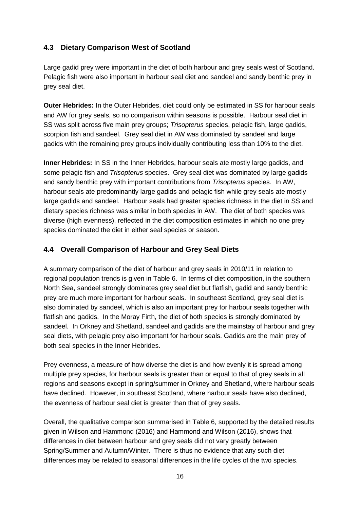## <span id="page-20-0"></span>**4.3 Dietary Comparison West of Scotland**

Large gadid prey were important in the diet of both harbour and grey seals west of Scotland. Pelagic fish were also important in harbour seal diet and sandeel and sandy benthic prey in grey seal diet.

**Outer Hebrides:** In the Outer Hebrides, diet could only be estimated in SS for harbour seals and AW for grey seals, so no comparison within seasons is possible. Harbour seal diet in SS was split across five main prey groups; *Trisopterus* species, pelagic fish, large gadids, scorpion fish and sandeel. Grey seal diet in AW was dominated by sandeel and large gadids with the remaining prey groups individually contributing less than 10% to the diet.

**Inner Hebrides:** In SS in the Inner Hebrides, harbour seals ate mostly large gadids, and some pelagic fish and *Trisopterus* species. Grey seal diet was dominated by large gadids and sandy benthic prey with important contributions from *Trisopterus* species. In AW, harbour seals ate predominantly large gadids and pelagic fish while grey seals ate mostly large gadids and sandeel. Harbour seals had greater species richness in the diet in SS and dietary species richness was similar in both species in AW. The diet of both species was diverse (high evenness), reflected in the diet composition estimates in which no one prey species dominated the diet in either seal species or season.

#### <span id="page-20-1"></span>**4.4 Overall Comparison of Harbour and Grey Seal Diets**

A summary comparison of the diet of harbour and grey seals in 2010/11 in relation to regional population trends is given in Table 6. In terms of diet composition, in the southern North Sea, sandeel strongly dominates grey seal diet but flatfish, gadid and sandy benthic prey are much more important for harbour seals. In southeast Scotland, grey seal diet is also dominated by sandeel, which is also an important prey for harbour seals together with flatfish and gadids. In the Moray Firth, the diet of both species is strongly dominated by sandeel. In Orkney and Shetland, sandeel and gadids are the mainstay of harbour and grey seal diets, with pelagic prey also important for harbour seals. Gadids are the main prey of both seal species in the Inner Hebrides.

Prey evenness, a measure of how diverse the diet is and how evenly it is spread among multiple prey species, for harbour seals is greater than or equal to that of grey seals in all regions and seasons except in spring/summer in Orkney and Shetland, where harbour seals have declined. However, in southeast Scotland, where harbour seals have also declined, the evenness of harbour seal diet is greater than that of grey seals.

Overall, the qualitative comparison summarised in Table 6, supported by the detailed results given in Wilson and Hammond (2016) and Hammond and Wilson (2016), shows that differences in diet between harbour and grey seals did not vary greatly between Spring/Summer and Autumn/Winter. There is thus no evidence that any such diet differences may be related to seasonal differences in the life cycles of the two species.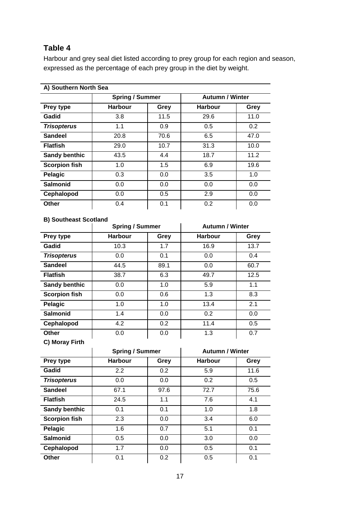## **Table 4**

Harbour and grey seal diet listed according to prey group for each region and season, expressed as the percentage of each prey group in the diet by weight.

| A) Southern North Sea |                        |      |                        |      |  |  |
|-----------------------|------------------------|------|------------------------|------|--|--|
|                       | <b>Spring / Summer</b> |      | <b>Autumn / Winter</b> |      |  |  |
| Prey type             | <b>Harbour</b>         | Grey | <b>Harbour</b>         | Grey |  |  |
| Gadid                 | 3.8                    | 11.5 | 29.6                   | 11.0 |  |  |
| <b>Trisopterus</b>    | 1.1                    | 0.9  | 0.5                    | 0.2  |  |  |
| <b>Sandeel</b>        | 20.8                   | 70.6 | 6.5                    | 47.0 |  |  |
| <b>Flatfish</b>       | 29.0                   | 10.7 | 31.3                   | 10.0 |  |  |
| <b>Sandy benthic</b>  | 43.5                   | 4.4  | 18.7                   | 11.2 |  |  |
| <b>Scorpion fish</b>  | 1.0                    | 1.5  | 6.9                    | 19.6 |  |  |
| Pelagic               | 0.3                    | 0.0  | 3.5                    | 1.0  |  |  |
| <b>Salmonid</b>       | 0.0                    | 0.0  | 0.0                    | 0.0  |  |  |
| Cephalopod            | 0.0                    | 0.5  | 2.9                    | 0.0  |  |  |
| Other                 | 0.4                    | 0.1  | 0.2                    | 0.0  |  |  |

**A) Southern North Sea**

#### **B) Southeast Scotland**

|                      |                | <b>Spring / Summer</b> |                | <b>Autumn / Winter</b> |
|----------------------|----------------|------------------------|----------------|------------------------|
| Prey type            | <b>Harbour</b> | Grey                   | <b>Harbour</b> | Grey                   |
| Gadid                | 10.3           | 1.7                    | 16.9           | 13.7                   |
| <b>Trisopterus</b>   | 0.0            | 0.1                    | 0.0            | 0.4                    |
| <b>Sandeel</b>       | 44.5           | 89.1                   | 0.0            | 60.7                   |
| <b>Flatfish</b>      | 38.7           | 6.3                    | 49.7           | 12.5                   |
| <b>Sandy benthic</b> | 0.0            | 1.0                    | 5.9            | 1.1                    |
| <b>Scorpion fish</b> | 0.0            | 0.6                    | 1.3            | 8.3                    |
| Pelagic              | 1.0            | 1.0                    | 13.4           | 2.1                    |
| <b>Salmonid</b>      | 1.4            | 0.0                    | 0.2            | 0.0                    |
| Cephalopod           | 4.2            | 0.2                    | 11.4           | 0.5                    |
| Other                | 0.0            | 0.0                    | 1.3            | 0.7                    |
| C) Moray Firth       |                |                        |                |                        |

|                      |                | <b>Spring / Summer</b> |                | <b>Autumn / Winter</b> |
|----------------------|----------------|------------------------|----------------|------------------------|
| Prey type            | <b>Harbour</b> | Grey                   | <b>Harbour</b> | Grey                   |
| Gadid                | 2.2            | 0.2                    | 5.9            | 11.6                   |
| <b>Trisopterus</b>   | 0.0            | 0.0                    | 0.2            | 0.5                    |
| <b>Sandeel</b>       | 67.1           | 97.6                   | 72.7           | 75.6                   |
| <b>Flatfish</b>      | 24.5           | 1.1                    | 7.6            | 4.1                    |
| Sandy benthic        | 0.1            | 0.1                    | 1.0            | 1.8                    |
| <b>Scorpion fish</b> | 2.3            | 0.0                    | 3.4            | 6.0                    |
| Pelagic              | 1.6            | 0.7                    | 5.1            | 0.1                    |
| <b>Salmonid</b>      | 0.5            | 0.0                    | 3.0            | 0.0                    |
| Cephalopod           | 1.7            | 0.0                    | 0.5            | 0.1                    |
| Other                | 0.1            | 0.2                    | 0.5            | 0.1                    |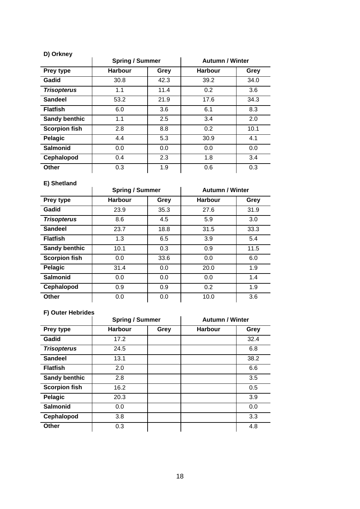| D) Orkney            |                        |      |                        |      |  |
|----------------------|------------------------|------|------------------------|------|--|
|                      | <b>Spring / Summer</b> |      | <b>Autumn / Winter</b> |      |  |
| Prey type            | <b>Harbour</b>         | Grey | <b>Harbour</b>         | Grey |  |
| Gadid                | 30.8                   | 42.3 | 39.2                   | 34.0 |  |
| <b>Trisopterus</b>   | 1.1                    | 11.4 | 0.2                    | 3.6  |  |
| <b>Sandeel</b>       | 53.2                   | 21.9 | 17.6                   | 34.3 |  |
| <b>Flatfish</b>      | 6.0                    | 3.6  | 6.1                    | 8.3  |  |
| <b>Sandy benthic</b> | 1.1                    | 2.5  | 3.4                    | 2.0  |  |
| <b>Scorpion fish</b> | 2.8                    | 8.8  | 0.2                    | 10.1 |  |
| Pelagic              | 4.4                    | 5.3  | 30.9                   | 4.1  |  |
| <b>Salmonid</b>      | 0.0                    | 0.0  | 0.0                    | 0.0  |  |
| Cephalopod           | 0.4                    | 2.3  | 1.8                    | 3.4  |  |
| Other                | 0.3                    | 1.9  | 0.6                    | 0.3  |  |

| E) Shetland          |                        |      |                        |      |  |  |
|----------------------|------------------------|------|------------------------|------|--|--|
|                      | <b>Spring / Summer</b> |      | <b>Autumn / Winter</b> |      |  |  |
| Prey type            | <b>Harbour</b>         | Grey | <b>Harbour</b>         | Grey |  |  |
| Gadid                | 23.9                   | 35.3 | 27.6                   | 31.9 |  |  |
| <b>Trisopterus</b>   | 8.6                    | 4.5  | 5.9                    | 3.0  |  |  |
| <b>Sandeel</b>       | 23.7                   | 18.8 | 31.5                   | 33.3 |  |  |
| <b>Flatfish</b>      | 1.3                    | 6.5  | 3.9                    | 5.4  |  |  |
| <b>Sandy benthic</b> | 10.1                   | 0.3  | 0.9                    | 11.5 |  |  |
| <b>Scorpion fish</b> | 0.0                    | 33.6 | 0.0                    | 6.0  |  |  |
| Pelagic              | 31.4                   | 0.0  | 20.0                   | 1.9  |  |  |
| <b>Salmonid</b>      | 0.0                    | 0.0  | 0.0                    | 1.4  |  |  |
| Cephalopod           | 0.9                    | 0.9  | 0.2                    | 1.9  |  |  |
| Other                | 0.0                    | 0.0  | 10.0                   | 3.6  |  |  |

## **F) Outer Hebrides**

|                      | <b>Spring / Summer</b> |      | <b>Autumn / Winter</b> |      |
|----------------------|------------------------|------|------------------------|------|
| Prey type            | <b>Harbour</b>         | Grey | <b>Harbour</b>         | Grey |
| Gadid                | 17.2                   |      |                        | 32.4 |
| <b>Trisopterus</b>   | 24.5                   |      |                        | 6.8  |
| <b>Sandeel</b>       | 13.1                   |      |                        | 38.2 |
| <b>Flatfish</b>      | 2.0                    |      |                        | 6.6  |
| <b>Sandy benthic</b> | 2.8                    |      |                        | 3.5  |
| <b>Scorpion fish</b> | 16.2                   |      |                        | 0.5  |
| Pelagic              | 20.3                   |      |                        | 3.9  |
| <b>Salmonid</b>      | 0.0                    |      |                        | 0.0  |
| Cephalopod           | 3.8                    |      |                        | 3.3  |
| Other                | 0.3                    |      |                        | 4.8  |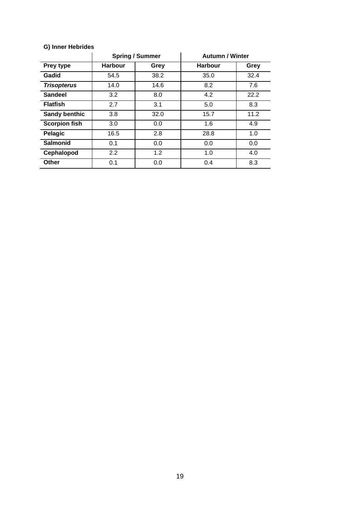|                      | <b>Spring / Summer</b> |      | <b>Autumn / Winter</b> |      |
|----------------------|------------------------|------|------------------------|------|
| Prey type            | <b>Harbour</b>         | Grey | <b>Harbour</b>         | Grey |
| Gadid                | 54.5                   | 38.2 | 35.0                   | 32.4 |
| <b>Trisopterus</b>   | 14.0                   | 14.6 | 8.2                    | 7.6  |
| <b>Sandeel</b>       | 3.2                    | 8.0  | 4.2                    | 22.2 |
| <b>Flatfish</b>      | 2.7                    | 3.1  | 5.0                    | 8.3  |
| <b>Sandy benthic</b> | 3.8                    | 32.0 | 15.7                   | 11.2 |
| <b>Scorpion fish</b> | 3.0                    | 0.0  | 1.6                    | 4.9  |
| Pelagic              | 16.5                   | 2.8  | 28.8                   | 1.0  |
| <b>Salmonid</b>      | 0.1                    | 0.0  | 0.0                    | 0.0  |
| Cephalopod           | 2.2                    | 1.2  | 1.0                    | 4.0  |
| Other                | 0.1                    | 0.0  | 0.4                    | 8.3  |

#### **G) Inner Hebrides**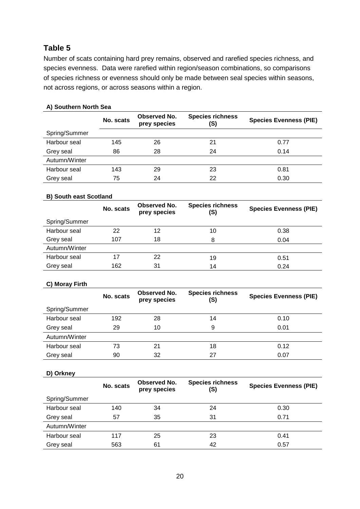## **Table 5**

Number of scats containing hard prey remains, observed and rarefied species richness, and species evenness. Data were rarefied within region/season combinations, so comparisons of species richness or evenness should only be made between seal species within seasons, not across regions, or across seasons within a region.

#### **A) Southern North Sea**

|               | No. scats | <b>Observed No.</b><br>prey species | <b>Species richness</b><br>(S) | <b>Species Evenness (PIE)</b> |
|---------------|-----------|-------------------------------------|--------------------------------|-------------------------------|
| Spring/Summer |           |                                     |                                |                               |
| Harbour seal  | 145       | 26                                  | 21                             | 0.77                          |
| Grey seal     | 86        | 28                                  | 24                             | 0.14                          |
| Autumn/Winter |           |                                     |                                |                               |
| Harbour seal  | 143       | 29                                  | 23                             | 0.81                          |
| Grey seal     | 75        | 24                                  | 22                             | 0.30                          |

#### **B) South east Scotland**

|               | No. scats | Observed No.<br>prey species | <b>Species richness</b><br>(S) | <b>Species Evenness (PIE)</b> |
|---------------|-----------|------------------------------|--------------------------------|-------------------------------|
| Spring/Summer |           |                              |                                |                               |
| Harbour seal  | 22        | 12                           | 10                             | 0.38                          |
| Grey seal     | 107       | 18                           | 8                              | 0.04                          |
| Autumn/Winter |           |                              |                                |                               |
| Harbour seal  | 17        | 22                           | 19                             | 0.51                          |
| Grey seal     | 162       | 31                           | 14                             | 0.24                          |

#### **C) Moray Firth**

|               | No. scats | <b>Observed No.</b><br>prey species | <b>Species richness</b><br>(S) | <b>Species Evenness (PIE)</b> |
|---------------|-----------|-------------------------------------|--------------------------------|-------------------------------|
| Spring/Summer |           |                                     |                                |                               |
| Harbour seal  | 192       | 28                                  | 14                             | 0.10                          |
| Grey seal     | 29        | 10                                  | 9                              | 0.01                          |
| Autumn/Winter |           |                                     |                                |                               |
| Harbour seal  | 73        | 21                                  | 18                             | 0.12                          |
| Grey seal     | 90        | 32                                  | 27                             | 0.07                          |

#### **D) Orkney**

|               | No. scats | Observed No.<br>prey species | <b>Species richness</b><br>(S) | <b>Species Evenness (PIE)</b> |
|---------------|-----------|------------------------------|--------------------------------|-------------------------------|
| Spring/Summer |           |                              |                                |                               |
| Harbour seal  | 140       | 34                           | 24                             | 0.30                          |
| Grey seal     | 57        | 35                           | 31                             | 0.71                          |
| Autumn/Winter |           |                              |                                |                               |
| Harbour seal  | 117       | 25                           | 23                             | 0.41                          |
| Grey seal     | 563       | 61                           | 42                             | 0.57                          |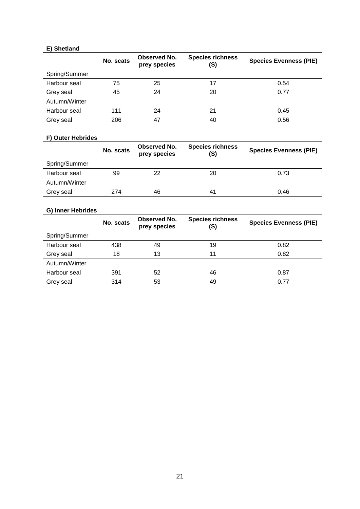#### **E) Shetland**

|               | No. scats | <b>Observed No.</b><br>prey species | <b>Species richness</b><br>(S) | <b>Species Evenness (PIE)</b> |
|---------------|-----------|-------------------------------------|--------------------------------|-------------------------------|
| Spring/Summer |           |                                     |                                |                               |
| Harbour seal  | 75        | 25                                  | 17                             | 0.54                          |
| Grey seal     | 45        | 24                                  | 20                             | 0.77                          |
| Autumn/Winter |           |                                     |                                |                               |
| Harbour seal  | 111       | 24                                  | 21                             | 0.45                          |
| Grey seal     | 206       | 47                                  | 40                             | 0.56                          |

#### **F) Outer Hebrides**

|               | No. scats | Observed No.<br>prey species | <b>Species richness</b><br>(S) | <b>Species Evenness (PIE)</b> |
|---------------|-----------|------------------------------|--------------------------------|-------------------------------|
| Spring/Summer |           |                              |                                |                               |
| Harbour seal  | 99        | 22                           | 20                             | 0.73                          |
| Autumn/Winter |           |                              |                                |                               |
| Grey seal     | 274       | 46                           | 41                             | 0.46                          |

#### **G) Inner Hebrides**

|               | No. scats | Observed No.<br>prey species | <b>Species richness</b><br>(S) | <b>Species Evenness (PIE)</b> |
|---------------|-----------|------------------------------|--------------------------------|-------------------------------|
| Spring/Summer |           |                              |                                |                               |
| Harbour seal  | 438       | 49                           | 19                             | 0.82                          |
| Grey seal     | 18        | 13                           | 11                             | 0.82                          |
| Autumn/Winter |           |                              |                                |                               |
| Harbour seal  | 391       | 52                           | 46                             | 0.87                          |
| Grey seal     | 314       | 53                           | 49                             | 0.77                          |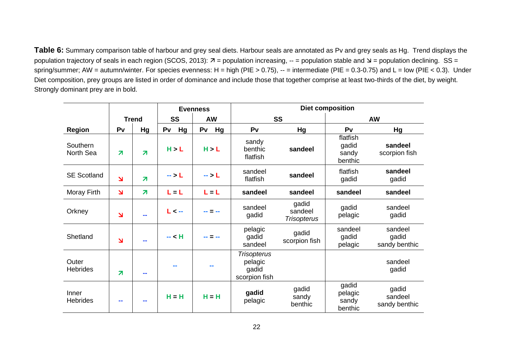**Table 6:** Summary comparison table of harbour and grey seal diets. Harbour seals are annotated as Pv and grey seals as Hg. Trend displays the population trajectory of seals in each region [\(SCOS, 2013\)](file:///C:/Users/ljw33/Documents/THESIS/A-thesis%20compiled-v21-corrections-v3.docx%23_ENREF_337):  $\bar{\lambda}$  = population increasing, -- = population stable and  $\bar{\lambda}$  = population declining. SS = spring/summer; AW = autumn/winter. For species evenness: H = high (PIE > 0.75),  $-$  = intermediate (PIE = 0.3-0.75) and L = low (PIE < 0.3). Under Diet composition, prey groups are listed in order of dominance and include those that together comprise at least two-thirds of the diet, by weight. Strongly dominant prey are in bold.

|                          | <b>Evenness</b>          |                         |           | <b>Diet composition</b>                    |                                                         |                                        |                                       |                                   |
|--------------------------|--------------------------|-------------------------|-----------|--------------------------------------------|---------------------------------------------------------|----------------------------------------|---------------------------------------|-----------------------------------|
|                          | <b>Trend</b>             |                         | <b>SS</b> | <b>AW</b>                                  | SS                                                      |                                        | <b>AW</b>                             |                                   |
| <b>Region</b>            | Pv                       | Hg                      | Pv<br>Hg  | Hg<br>Pv                                   | Pv                                                      | Hg                                     | P <sub>V</sub>                        | Hg                                |
| Southern<br>North Sea    | $\overline{\mathbf{z}}$  | $\overline{\mathbf{z}}$ | H > L     | H > L                                      | sandy<br>benthic<br>flatfish                            | sandeel                                | flatfish<br>gadid<br>sandy<br>benthic | sandeel<br>scorpion fish          |
| <b>SE Scotland</b>       | $\overline{\phantom{0}}$ | $\overline{\mathbf{z}}$ | -- > L    | $\mathord{\rightarrow}$ $\mathord{\vdash}$ | sandeel<br>flatfish                                     | sandeel                                | flatfish<br>gadid                     | sandeel<br>gadid                  |
| Moray Firth              | $\overline{\mathbf{z}}$  | $\overline{\mathbf{z}}$ | $L = L$   | $L = L$                                    | sandeel                                                 | sandeel                                | sandeel                               | sandeel                           |
| Orkney                   | N                        |                         | L < --    |                                            | sandeel<br>gadid                                        | gadid<br>sandeel<br><b>Trisopterus</b> | gadid<br>pelagic                      | sandeel<br>gadid                  |
| Shetland                 | $\overline{\mathbf{z}}$  |                         | $-$ < H   |                                            | pelagic<br>gadid<br>sandeel                             | gadid<br>scorpion fish                 | sandeel<br>gadid<br>pelagic           | sandeel<br>gadid<br>sandy benthic |
| Outer<br><b>Hebrides</b> | $\overline{\mathbf{z}}$  | m.                      |           |                                            | <b>Trisopterus</b><br>pelagic<br>gadid<br>scorpion fish |                                        |                                       | sandeel<br>gadid                  |
| Inner<br><b>Hebrides</b> | ۰.                       |                         | $H = H$   | $H = H$                                    | gadid<br>pelagic                                        | gadid<br>sandy<br>benthic              | gadid<br>pelagic<br>sandy<br>benthic  | gadid<br>sandeel<br>sandy benthic |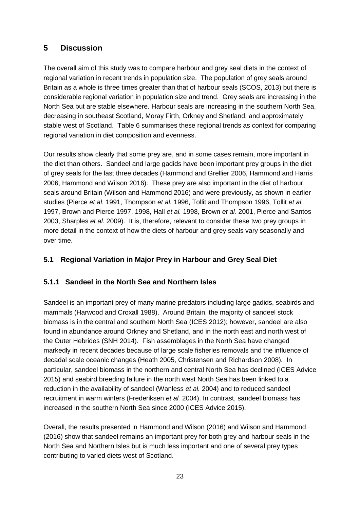## <span id="page-27-0"></span>**5 Discussion**

The overall aim of this study was to compare harbour and grey seal diets in the context of regional variation in recent trends in population size. The population of grey seals around Britain as a whole is three times greater than that of harbour seals (SCOS, 2013) but there is considerable regional variation in population size and trend. Grey seals are increasing in the North Sea but are stable elsewhere. Harbour seals are increasing in the southern North Sea, decreasing in southeast Scotland, Moray Firth, Orkney and Shetland, and approximately stable west of Scotland. Table 6 summarises these regional trends as context for comparing regional variation in diet composition and evenness.

Our results show clearly that some prey are, and in some cases remain, more important in the diet than others. Sandeel and large gadids have been important prey groups in the diet of grey seals for the last three decades (Hammond and Grellier 2006, Hammond and Harris 2006, Hammond and Wilson 2016). These prey are also important in the diet of harbour seals around Britain (Wilson and Hammond 2016) and were previously, as shown in earlier studies (Pierce *et al.* 1991, Thompson *et al.* 1996, Tollit and Thompson 1996, Tollit *et al.* 1997, Brown and Pierce 1997, 1998, Hall *et al.* 1998, Brown *et al.* 2001, Pierce and Santos 2003, Sharples *et al.* 2009). It is, therefore, relevant to consider these two prey groups in more detail in the context of how the diets of harbour and grey seals vary seasonally and over time.

## <span id="page-27-1"></span>**5.1 Regional Variation in Major Prey in Harbour and Grey Seal Diet**

#### <span id="page-27-2"></span>**5.1.1 Sandeel in the North Sea and Northern Isles**

Sandeel is an important prey of many marine predators including large gadids, seabirds and mammals (Harwood and Croxall 1988). Around Britain, the majority of sandeel stock biomass is in the central and southern North Sea (ICES 2012); however, sandeel are also found in abundance around Orkney and Shetland, and in the north east and north west of the Outer Hebrides (SNH 2014). Fish assemblages in the North Sea have changed markedly in recent decades because of large scale fisheries removals and the influence of decadal scale oceanic changes (Heath 2005, Christensen and Richardson 2008). In particular, sandeel biomass in the northern and central North Sea has declined (ICES Advice 2015) and seabird breeding failure in the north west North Sea has been linked to a reduction in the availability of sandeel (Wanless *et al.* 2004) and to reduced sandeel recruitment in warm winters (Frederiksen *et al.* 2004). In contrast, sandeel biomass has increased in the southern North Sea since 2000 (ICES Advice 2015).

Overall, the results presented in Hammond and Wilson (2016) and Wilson and Hammond (2016) show that sandeel remains an important prey for both grey and harbour seals in the North Sea and Northern Isles but is much less important and one of several prey types contributing to varied diets west of Scotland.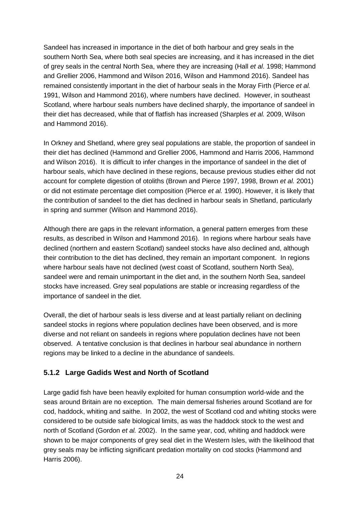Sandeel has increased in importance in the diet of both harbour and grey seals in the southern North Sea, where both seal species are increasing, and it has increased in the diet of grey seals in the central North Sea, where they are increasing (Hall *et al*. 1998; Hammond and Grellier 2006, Hammond and Wilson 2016, Wilson and Hammond 2016). Sandeel has remained consistently important in the diet of harbour seals in the Moray Firth (Pierce *et al.* 1991, Wilson and Hammond 2016), where numbers have declined. However, in southeast Scotland, where harbour seals numbers have declined sharply, the importance of sandeel in their diet has decreased, while that of flatfish has increased (Sharples *et al.* 2009, Wilson and Hammond 2016).

In Orkney and Shetland, where grey seal populations are stable, the proportion of sandeel in their diet has declined (Hammond and Grellier 2006, Hammond and Harris 2006, Hammond and Wilson 2016). It is difficult to infer changes in the importance of sandeel in the diet of harbour seals, which have declined in these regions, because previous studies either did not account for complete digestion of otoliths (Brown and Pierce 1997, 1998, Brown *et al.* 2001) or did not estimate percentage diet composition (Pierce *et al.* 1990). However, it is likely that the contribution of sandeel to the diet has declined in harbour seals in Shetland, particularly in spring and summer (Wilson and Hammond 2016).

Although there are gaps in the relevant information, a general pattern emerges from these results, as described in Wilson and Hammond 2016). In regions where harbour seals have declined (northern and eastern Scotland) sandeel stocks have also declined and, although their contribution to the diet has declined, they remain an important component. In regions where harbour seals have not declined (west coast of Scotland, southern North Sea), sandeel were and remain unimportant in the diet and, in the southern North Sea, sandeel stocks have increased. Grey seal populations are stable or increasing regardless of the importance of sandeel in the diet.

Overall, the diet of harbour seals is less diverse and at least partially reliant on declining sandeel stocks in regions where population declines have been observed, and is more diverse and not reliant on sandeels in regions where population declines have not been observed. A tentative conclusion is that declines in harbour seal abundance in northern regions may be linked to a decline in the abundance of sandeels.

#### <span id="page-28-0"></span>**5.1.2 Large Gadids West and North of Scotland**

Large gadid fish have been heavily exploited for human consumption world-wide and the seas around Britain are no exception. The main demersal fisheries around Scotland are for cod, haddock, whiting and saithe. In 2002, the west of Scotland cod and whiting stocks were considered to be outside safe biological limits, as was the haddock stock to the west and north of Scotland (Gordon *et al.* 2002). In the same year, cod, whiting and haddock were shown to be major components of grey seal diet in the Western Isles, with the likelihood that grey seals may be inflicting significant predation mortality on cod stocks (Hammond and Harris 2006).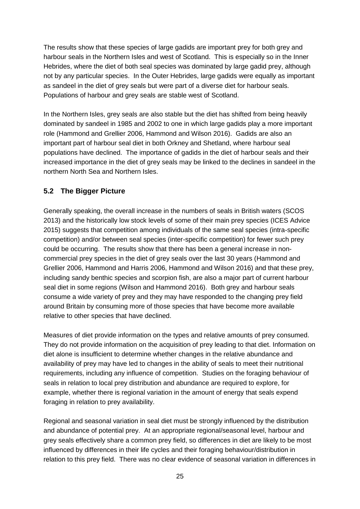The results show that these species of large gadids are important prey for both grey and harbour seals in the Northern Isles and west of Scotland. This is especially so in the Inner Hebrides, where the diet of both seal species was dominated by large gadid prey, although not by any particular species. In the Outer Hebrides, large gadids were equally as important as sandeel in the diet of grey seals but were part of a diverse diet for harbour seals. Populations of harbour and grey seals are stable west of Scotland.

In the Northern Isles, grey seals are also stable but the diet has shifted from being heavily dominated by sandeel in 1985 and 2002 to one in which large gadids play a more important role (Hammond and Grellier 2006, Hammond and Wilson 2016). Gadids are also an important part of harbour seal diet in both Orkney and Shetland, where harbour seal populations have declined. The importance of gadids in the diet of harbour seals and their increased importance in the diet of grey seals may be linked to the declines in sandeel in the northern North Sea and Northern Isles.

#### <span id="page-29-0"></span>**5.2 The Bigger Picture**

Generally speaking, the overall increase in the numbers of seals in British waters (SCOS 2013) and the historically low stock levels of some of their main prey species (ICES Advice 2015) suggests that competition among individuals of the same seal species (intra-specific competition) and/or between seal species (inter-specific competition) for fewer such prey could be occurring. The results show that there has been a general increase in noncommercial prey species in the diet of grey seals over the last 30 years (Hammond and Grellier 2006, Hammond and Harris 2006, Hammond and Wilson 2016) and that these prey, including sandy benthic species and scorpion fish, are also a major part of current harbour seal diet in some regions (Wilson and Hammond 2016). Both grey and harbour seals consume a wide variety of prey and they may have responded to the changing prey field around Britain by consuming more of those species that have become more available relative to other species that have declined.

Measures of diet provide information on the types and relative amounts of prey consumed. They do not provide information on the acquisition of prey leading to that diet. Information on diet alone is insufficient to determine whether changes in the relative abundance and availability of prey may have led to changes in the ability of seals to meet their nutritional requirements, including any influence of competition. Studies on the foraging behaviour of seals in relation to local prey distribution and abundance are required to explore, for example, whether there is regional variation in the amount of energy that seals expend foraging in relation to prey availability.

Regional and seasonal variation in seal diet must be strongly influenced by the distribution and abundance of potential prey. At an appropriate regional/seasonal level, harbour and grey seals effectively share a common prey field, so differences in diet are likely to be most influenced by differences in their life cycles and their foraging behaviour/distribution in relation to this prey field. There was no clear evidence of seasonal variation in differences in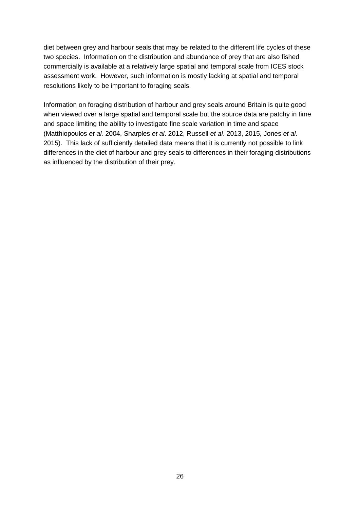diet between grey and harbour seals that may be related to the different life cycles of these two species. Information on the distribution and abundance of prey that are also fished commercially is available at a relatively large spatial and temporal scale from ICES stock assessment work. However, such information is mostly lacking at spatial and temporal resolutions likely to be important to foraging seals.

Information on foraging distribution of harbour and grey seals around Britain is quite good when viewed over a large spatial and temporal scale but the source data are patchy in time and space limiting the ability to investigate fine scale variation in time and space (Matthiopoulos *et al.* 2004, Sharples *et al*. 2012, Russell *et al*. 2013, 2015, Jones *et al*. 2015). This lack of sufficiently detailed data means that it is currently not possible to link differences in the diet of harbour and grey seals to differences in their foraging distributions as influenced by the distribution of their prey.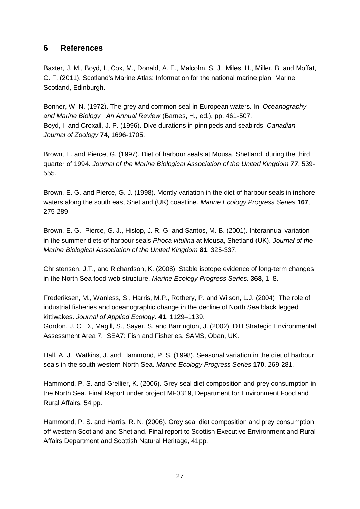## <span id="page-31-0"></span>**6 References**

Baxter, J. M., Boyd, I., Cox, M., Donald, A. E., Malcolm, S. J., Miles, H., Miller, B. and Moffat, C. F. (2011). Scotland's Marine Atlas: Information for the national marine plan. Marine Scotland, Edinburgh.

Bonner, W. N. (1972). The grey and common seal in European waters. In: *Oceanography and Marine Biology. An Annual Review* (Barnes, H., ed.), pp. 461-507. Boyd, I. and Croxall, J. P. (1996). Dive durations in pinnipeds and seabirds. *Canadian Journal of Zoology* **74**, 1696-1705.

Brown, E. and Pierce, G. (1997). Diet of harbour seals at Mousa, Shetland, during the third quarter of 1994. *Journal of the Marine Biological Association of the United Kingdom* **77**, 539- 555.

Brown, E. G. and Pierce, G. J. (1998). Montly variation in the diet of harbour seals in inshore waters along the south east Shetland (UK) coastline. *Marine Ecology Progress Series* **167**, 275-289.

Brown, E. G., Pierce, G. J., Hislop, J. R. G. and Santos, M. B. (2001). Interannual variation in the summer diets of harbour seals *Phoca vitulina* at Mousa, Shetland (UK). *Journal of the Marine Biological Association of the United Kingdom* **81**, 325-337.

Christensen, J.T., and Richardson, K. (2008). Stable isotope evidence of long-term changes in the North Sea food web structure. *Marine Ecology Progress Series.* **368**, 1–8.

Frederiksen, M., Wanless, S., Harris, M.P., Rothery, P. and Wilson, L.J. (2004). The role of industrial fisheries and oceanographic change in the decline of North Sea black legged kittiwakes. *Journal of Applied Ecology.* **41**, 1129–1139.

Gordon, J. C. D., Magill, S., Sayer, S. and Barrington, J. (2002). DTI Strategic Environmental Assessment Area 7. SEA7: Fish and Fisheries. SAMS, Oban, UK.

Hall, A. J., Watkins, J. and Hammond, P. S. (1998). Seasonal variation in the diet of harbour seals in the south-western North Sea. *Marine Ecology Progress Series* **170**, 269-281.

Hammond, P. S. and Grellier, K. (2006). Grey seal diet composition and prey consumption in the North Sea. Final Report under project MF0319, Department for Environment Food and Rural Affairs, 54 pp.

Hammond, P. S. and Harris, R. N. (2006). Grey seal diet composition and prey consumption off western Scotland and Shetland. Final report to Scottish Executive Environment and Rural Affairs Department and Scottish Natural Heritage, 41pp.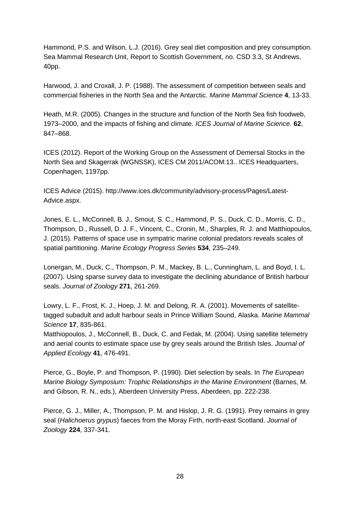Hammond, P.S. and Wilson, L.J. (2016). Grey seal diet composition and prey consumption. Sea Mammal Research Unit, Report to Scottish Government, no. CSD 3.3, St Andrews, 40pp.

Harwood, J. and Croxall, J. P. (1988). The assessment of competition between seals and commercial fisheries in the North Sea and the Antarctic. *Marine Mammal Science* **4**, 13-33.

Heath, M.R. (2005). Changes in the structure and function of the North Sea fish foodweb, 1973–2000, and the impacts of fishing and climate. *ICES Journal of Marine Science.* **62**, 847–868.

ICES (2012). Report of the Working Group on the Assessment of Demersal Stocks in the North Sea and Skagerrak (WGNSSK), ICES CM 2011/ACOM:13.. ICES Headquarters, Copenhagen, 1197pp.

ICES Advice (2015). http://www.ices.dk/community/advisory-process/Pages/Latest-Advice.aspx.

Jones, E. L., McConnell, B. J., Smout, S. C., Hammond, P. S., Duck, C. D., Morris, C. D., Thompson, D., Russell, D. J. F., Vincent, C., Cronin, M., Sharples, R. J. and Matthiopoulos, J. (2015). Patterns of space use in sympatric marine colonial predators reveals scales of spatial partitioning. *Marine Ecology Progress Series* **534**, 235–249.

Lonergan, M., Duck, C., Thompson, P. M., Mackey, B. L., Cunningham, L. and Boyd, I. L. (2007). Using sparse survey data to investigate the declining abundance of British harbour seals. *Journal of Zoology* **271**, 261-269.

Lowry, L. F., Frost, K. J., Hoep, J. M. and Delong, R. A. (2001). Movements of satellitetagged subadult and adult harbour seals in Prince William Sound, Alaska. *Marine Mammal Science* **17**, 835-861.

Matthiopoulos, J., McConnell, B., Duck, C. and Fedak, M. (2004). Using satellite telemetry and aerial counts to estimate space use by grey seals around the British Isles. *Journal of Applied Ecology* **41**, 476-491.

Pierce, G., Boyle, P. and Thompson, P. (1990). Diet selection by seals. In *The European Marine Biology Symposium: Trophic Relationships in the Marine Environment* (Barnes, M. and Gibson, R. N., eds.), Aberdeen University Press, Aberdeen, pp. 222-238.

Pierce, G. J., Miller, A., Thompson, P. M. and Hislop, J. R. G. (1991). Prey remains in grey seal (*Halichoerus grypus*) faeces from the Moray Firth, north-east Scotland. *Journal of Zoology* **224**, 337-341.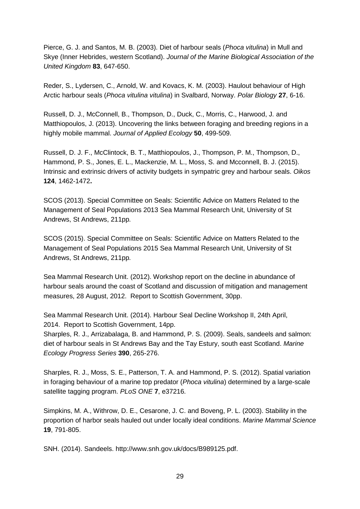Pierce, G. J. and Santos, M. B. (2003). Diet of harbour seals (*Phoca vitulina*) in Mull and Skye (Inner Hebrides, western Scotland). *Journal of the Marine Biological Association of the United Kingdom* **83**, 647-650.

Reder, S., Lydersen, C., Arnold, W. and Kovacs, K. M. (2003). Haulout behaviour of High Arctic harbour seals (*Phoca vitulina vitulina*) in Svalbard, Norway. *Polar Biology* **27**, 6-16.

Russell, D. J., McConnell, B., Thompson, D., Duck, C., Morris, C., Harwood, J. and Matthiopoulos, J. (2013). Uncovering the links between foraging and breeding regions in a highly mobile mammal. *Journal of Applied Ecology* **50**, 499-509.

Russell, D. J. F., McClintock, B. T., Matthiopoulos, J., Thompson, P. M., Thompson, D., Hammond, P. S., Jones, E. L., Mackenzie, M. L., Moss, S. and Mcconnell, B. J. (2015). Intrinsic and extrinsic drivers of activity budgets in sympatric grey and harbour seals. *Oikos* **124**, 1462-1472**.**

SCOS (2013). Special Committee on Seals: Scientific Advice on Matters Related to the Management of Seal Populations 2013 Sea Mammal Research Unit, University of St Andrews, St Andrews, 211pp*.*

SCOS (2015). Special Committee on Seals: Scientific Advice on Matters Related to the Management of Seal Populations 2015 Sea Mammal Research Unit, University of St Andrews, St Andrews, 211pp*.*

Sea Mammal Research Unit. (2012). Workshop report on the decline in abundance of harbour seals around the coast of Scotland and discussion of mitigation and management measures, 28 August, 2012. Report to Scottish Government, 30pp.

Sea Mammal Research Unit. (2014). Harbour Seal Decline Workshop II, 24th April, 2014. Report to Scottish Government, 14pp.

Sharples, R. J., Arrizabalaga, B. and Hammond, P. S. (2009). Seals, sandeels and salmon: diet of harbour seals in St Andrews Bay and the Tay Estury, south east Scotland. *Marine Ecology Progress Series* **390**, 265-276.

Sharples, R. J., Moss, S. E., Patterson, T. A. and Hammond, P. S. (2012). Spatial variation in foraging behaviour of a marine top predator (*Phoca vitulina*) determined by a large-scale satellite tagging program. *PLoS ONE* **7**, e37216.

Simpkins, M. A., Withrow, D. E., Cesarone, J. C. and Boveng, P. L. (2003). Stability in the proportion of harbor seals hauled out under locally ideal conditions. *Marine Mammal Science* **19**, 791-805.

SNH. (2014). Sandeels. http://www.snh.gov.uk/docs/B989125.pdf.